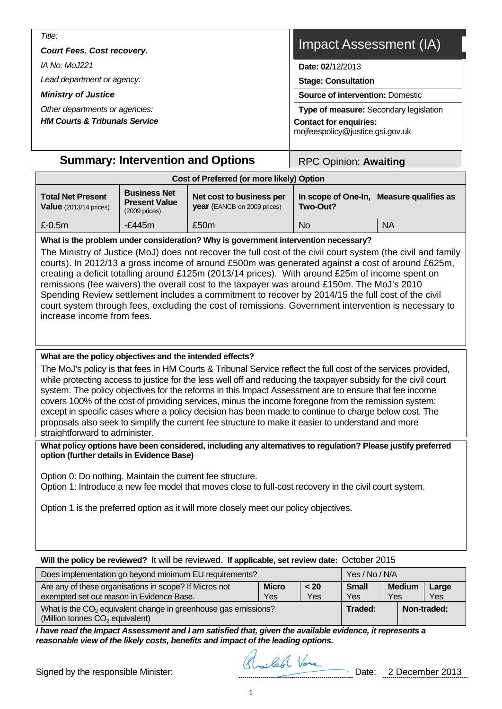| Title:                                   |                                                                   |
|------------------------------------------|-------------------------------------------------------------------|
| <b>Court Fees. Cost recovery.</b>        | Impact Assessment (IA)                                            |
| <i>IA No: MoJ221</i>                     | Date: 02/12/2013                                                  |
| Lead department or agency:               | <b>Stage: Consultation</b>                                        |
| <b>Ministry of Justice</b>               | <b>Source of intervention: Domestic</b>                           |
| Other departments or agencies:           | Type of measure: Secondary legislation                            |
| <b>HM Courts &amp; Tribunals Service</b> | <b>Contact for enquiries:</b><br>mojfeespolicy@justice.gsi.gov.uk |
|                                          |                                                                   |

# **Summary: Intervention and Options | RPC Opinion: Awaiting**

| Cost of Preferred (or more likely) Option                 |                                                                 |                                                                |                                 |                      |  |  |  |
|-----------------------------------------------------------|-----------------------------------------------------------------|----------------------------------------------------------------|---------------------------------|----------------------|--|--|--|
| <b>Total Net Present</b><br><b>Value</b> (2013/14 prices) | <b>Business Net</b><br><b>Present Value</b><br>$(2009)$ prices) | Net cost to business per<br><b>year</b> (EANCB on 2009 prices) | In scope of One-In,<br>Two-Out? | Measure qualifies as |  |  |  |
| $£-0.5m$                                                  | $-f.445m$                                                       | £50 <sub>m</sub>                                               | No                              | <b>NA</b>            |  |  |  |

# **What is the problem under consideration? Why is government intervention necessary?**

The Ministry of Justice (MoJ) does not recover the full cost of the civil court system (the civil and family courts). In 2012/13 a gross income of around £500m was generated against a cost of around £625m, creating a deficit totalling around £125m (2013/14 prices). With around £25m of income spent on remissions (fee waivers) the overall cost to the taxpayer was around £150m. The MoJ's 2010 Spending Review settlement includes a commitment to recover by 2014/15 the full cost of the civil court system through fees, excluding the cost of remissions. Government intervention is necessary to increase income from fees.

# **What are the policy objectives and the intended effects?**

The MoJ's policy is that fees in HM Courts & Tribunal Service reflect the full cost of the services provided, while protecting access to justice for the less well off and reducing the taxpayer subsidy for the civil court system. The policy objectives for the reforms in this Impact Assessment are to ensure that fee income covers 100% of the cost of providing services, minus the income foregone from the remission system; except in specific cases where a policy decision has been made to continue to charge below cost. The proposals also seek to simplify the current fee structure to make it easier to understand and more straightforward to administer.

**What policy options have been considered, including any alternatives to regulation? Please justify preferred option (further details in Evidence Base)** 

Option 0: Do nothing. Maintain the current fee structure.

Option 1: Introduce a new fee model that moves close to full-cost recovery in the civil court system.

Option 1 is the preferred option as it will more closely meet our policy objectives.

# **Will the policy be reviewed?** It will be reviewed. **If applicable, set review date:** October 2015

| Does implementation go beyond minimum EU requirements?                                                          | Yes / No / N/A      |                      |              |
|-----------------------------------------------------------------------------------------------------------------|---------------------|----------------------|--------------|
| Are any of these organisations in scope? If Micros not<br>exempted set out reason in Evidence Base.             | <b>Small</b><br>Yes | <b>Medium</b><br>Yes | Large<br>Yes |
| What is the $CO2$ equivalent change in greenhouse gas emissions?<br>(Million tonnes CO <sub>2</sub> equivalent) | Traded:             | Non-traded:          |              |

*I have read the Impact Assessment and I am satisfied that, given the available evidence, it represents a reasonable view of the likely costs, benefits and impact of the leading options.* 

Signed by the responsible Minister: Signed by the responsible Minister: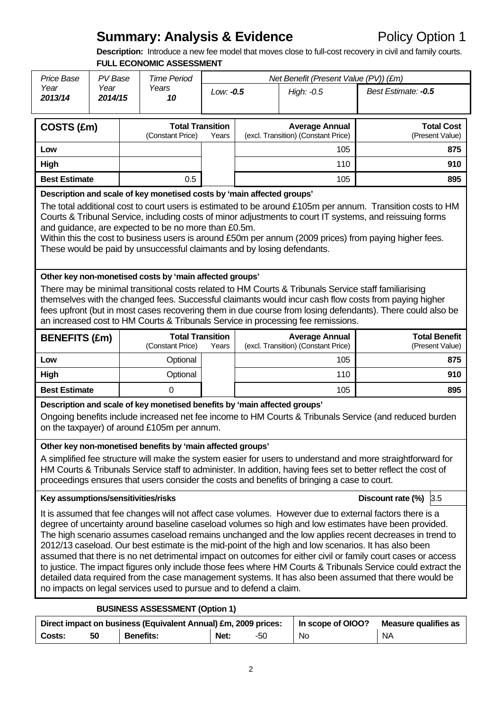# **Summary: Analysis & Evidence** Policy Option 1

**Description:** Introduce a new fee model that moves close to full-cost recovery in civil and family courts. **FULL ECONOMIC ASSESSMENT** 

| <b>Price Base</b>                                                                                                                                                                                                                                                                                                                                                                                                                                                                                                                                                                                                                                                                                                                                                                                                                                                                      | PV Base                                                                                                                                                                                                                                                                                                                                                                                                                                                                                                                                       |  | <b>Time Period</b>                                                                                                                                                                     |           | Net Benefit (Present Value (PV)) (£m) |                                                                                             |                                                                                                                                                                                                                                                                                                                                        |  |  |
|----------------------------------------------------------------------------------------------------------------------------------------------------------------------------------------------------------------------------------------------------------------------------------------------------------------------------------------------------------------------------------------------------------------------------------------------------------------------------------------------------------------------------------------------------------------------------------------------------------------------------------------------------------------------------------------------------------------------------------------------------------------------------------------------------------------------------------------------------------------------------------------|-----------------------------------------------------------------------------------------------------------------------------------------------------------------------------------------------------------------------------------------------------------------------------------------------------------------------------------------------------------------------------------------------------------------------------------------------------------------------------------------------------------------------------------------------|--|----------------------------------------------------------------------------------------------------------------------------------------------------------------------------------------|-----------|---------------------------------------|---------------------------------------------------------------------------------------------|----------------------------------------------------------------------------------------------------------------------------------------------------------------------------------------------------------------------------------------------------------------------------------------------------------------------------------------|--|--|
| Year<br>2013/14                                                                                                                                                                                                                                                                                                                                                                                                                                                                                                                                                                                                                                                                                                                                                                                                                                                                        | Year<br>2014/15                                                                                                                                                                                                                                                                                                                                                                                                                                                                                                                               |  | Years<br>10                                                                                                                                                                            | Low: -0.5 |                                       | High: -0.5                                                                                  | Best Estimate: -0.5                                                                                                                                                                                                                                                                                                                    |  |  |
| COSTS (£m)                                                                                                                                                                                                                                                                                                                                                                                                                                                                                                                                                                                                                                                                                                                                                                                                                                                                             |                                                                                                                                                                                                                                                                                                                                                                                                                                                                                                                                               |  | <b>Total Transition</b><br>(Constant Price)                                                                                                                                            | Years     |                                       | <b>Average Annual</b><br>(excl. Transition) (Constant Price)                                | <b>Total Cost</b><br>(Present Value)                                                                                                                                                                                                                                                                                                   |  |  |
| Low                                                                                                                                                                                                                                                                                                                                                                                                                                                                                                                                                                                                                                                                                                                                                                                                                                                                                    |                                                                                                                                                                                                                                                                                                                                                                                                                                                                                                                                               |  |                                                                                                                                                                                        |           |                                       | 105                                                                                         | 875                                                                                                                                                                                                                                                                                                                                    |  |  |
| High                                                                                                                                                                                                                                                                                                                                                                                                                                                                                                                                                                                                                                                                                                                                                                                                                                                                                   |                                                                                                                                                                                                                                                                                                                                                                                                                                                                                                                                               |  |                                                                                                                                                                                        |           |                                       | 110                                                                                         | 910                                                                                                                                                                                                                                                                                                                                    |  |  |
| <b>Best Estimate</b>                                                                                                                                                                                                                                                                                                                                                                                                                                                                                                                                                                                                                                                                                                                                                                                                                                                                   |                                                                                                                                                                                                                                                                                                                                                                                                                                                                                                                                               |  | 0.5                                                                                                                                                                                    |           |                                       | 105                                                                                         | 895                                                                                                                                                                                                                                                                                                                                    |  |  |
|                                                                                                                                                                                                                                                                                                                                                                                                                                                                                                                                                                                                                                                                                                                                                                                                                                                                                        | Description and scale of key monetised costs by 'main affected groups'<br>The total additional cost to court users is estimated to be around £105m per annum. Transition costs to HM<br>Courts & Tribunal Service, including costs of minor adjustments to court IT systems, and reissuing forms<br>and guidance, are expected to be no more than £0.5m.<br>Within this the cost to business users is around £50m per annum (2009 prices) from paying higher fees.<br>These would be paid by unsuccessful claimants and by losing defendants. |  |                                                                                                                                                                                        |           |                                       |                                                                                             |                                                                                                                                                                                                                                                                                                                                        |  |  |
|                                                                                                                                                                                                                                                                                                                                                                                                                                                                                                                                                                                                                                                                                                                                                                                                                                                                                        | Other key non-monetised costs by 'main affected groups'<br>There may be minimal transitional costs related to HM Courts & Tribunals Service staff familiarising<br>themselves with the changed fees. Successful claimants would incur cash flow costs from paying higher<br>fees upfront (but in most cases recovering them in due course from losing defendants). There could also be<br>an increased cost to HM Courts & Tribunals Service in processing fee remissions.                                                                    |  |                                                                                                                                                                                        |           |                                       |                                                                                             |                                                                                                                                                                                                                                                                                                                                        |  |  |
| <b>BENEFITS (£m)</b>                                                                                                                                                                                                                                                                                                                                                                                                                                                                                                                                                                                                                                                                                                                                                                                                                                                                   |                                                                                                                                                                                                                                                                                                                                                                                                                                                                                                                                               |  | <b>Total Transition</b><br>(Constant Price)                                                                                                                                            | Years     |                                       | <b>Average Annual</b><br>(excl. Transition) (Constant Price)                                | <b>Total Benefit</b><br>(Present Value)                                                                                                                                                                                                                                                                                                |  |  |
| Low                                                                                                                                                                                                                                                                                                                                                                                                                                                                                                                                                                                                                                                                                                                                                                                                                                                                                    |                                                                                                                                                                                                                                                                                                                                                                                                                                                                                                                                               |  | Optional                                                                                                                                                                               |           |                                       | 105                                                                                         | 875                                                                                                                                                                                                                                                                                                                                    |  |  |
| High                                                                                                                                                                                                                                                                                                                                                                                                                                                                                                                                                                                                                                                                                                                                                                                                                                                                                   |                                                                                                                                                                                                                                                                                                                                                                                                                                                                                                                                               |  | Optional                                                                                                                                                                               |           |                                       | 110                                                                                         | 910                                                                                                                                                                                                                                                                                                                                    |  |  |
| <b>Best Estimate</b>                                                                                                                                                                                                                                                                                                                                                                                                                                                                                                                                                                                                                                                                                                                                                                                                                                                                   |                                                                                                                                                                                                                                                                                                                                                                                                                                                                                                                                               |  | 0                                                                                                                                                                                      |           |                                       | 105                                                                                         | 895                                                                                                                                                                                                                                                                                                                                    |  |  |
|                                                                                                                                                                                                                                                                                                                                                                                                                                                                                                                                                                                                                                                                                                                                                                                                                                                                                        |                                                                                                                                                                                                                                                                                                                                                                                                                                                                                                                                               |  | Description and scale of key monetised benefits by 'main affected groups'<br>on the taxpayer) of around £105m per annum.<br>Other key non-monetised benefits by 'main affected groups' |           |                                       | proceedings ensures that users consider the costs and benefits of bringing a case to court. | Ongoing benefits include increased net fee income to HM Courts & Tribunals Service (and reduced burden<br>A simplified fee structure will make the system easier for users to understand and more straightforward for<br>HM Courts & Tribunals Service staff to administer. In addition, having fees set to better reflect the cost of |  |  |
|                                                                                                                                                                                                                                                                                                                                                                                                                                                                                                                                                                                                                                                                                                                                                                                                                                                                                        |                                                                                                                                                                                                                                                                                                                                                                                                                                                                                                                                               |  |                                                                                                                                                                                        |           |                                       |                                                                                             | Discount rate (%)<br>3.5                                                                                                                                                                                                                                                                                                               |  |  |
| Key assumptions/sensitivities/risks<br>It is assumed that fee changes will not affect case volumes. However due to external factors there is a<br>degree of uncertainty around baseline caseload volumes so high and low estimates have been provided.<br>The high scenario assumes caseload remains unchanged and the low applies recent decreases in trend to<br>2012/13 caseload. Our best estimate is the mid-point of the high and low scenarios. It has also been<br>assumed that there is no net detrimental impact on outcomes for either civil or family court cases or access<br>to justice. The impact figures only include those fees where HM Courts & Tribunals Service could extract the<br>detailed data required from the case management systems. It has also been assumed that there would be<br>no impacts on legal services used to pursue and to defend a claim. |                                                                                                                                                                                                                                                                                                                                                                                                                                                                                                                                               |  |                                                                                                                                                                                        |           |                                       |                                                                                             |                                                                                                                                                                                                                                                                                                                                        |  |  |
| <b>BUSINESS ASSESSMENT (Option 1)</b>                                                                                                                                                                                                                                                                                                                                                                                                                                                                                                                                                                                                                                                                                                                                                                                                                                                  |                                                                                                                                                                                                                                                                                                                                                                                                                                                                                                                                               |  |                                                                                                                                                                                        |           |                                       |                                                                                             |                                                                                                                                                                                                                                                                                                                                        |  |  |

| Direct impact on business (Equivalent Annual) £m, 2009 prices: |    |                  |      |     | In scope of OIOO? | <b>Measure qualifies as</b> |
|----------------------------------------------------------------|----|------------------|------|-----|-------------------|-----------------------------|
| Costs:                                                         | 50 | <b>Benefits:</b> | Net: | -50 | No.               | NA                          |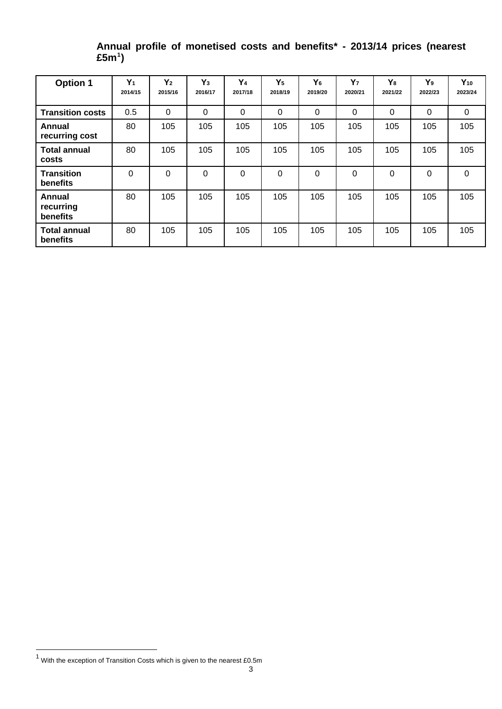| <b>Option 1</b>                 | $Y_1$<br>2014/15 | $Y_2$<br>2015/16 | $Y_3$<br>2016/17 | Y <sub>4</sub><br>2017/18 | Y <sub>5</sub><br>2018/19 | Y <sub>6</sub><br>2019/20 | Y <sub>7</sub><br>2020/21 | Y <sub>8</sub><br>2021/22 | Y <sub>9</sub><br>2022/23 | $Y_{10}$<br>2023/24 |
|---------------------------------|------------------|------------------|------------------|---------------------------|---------------------------|---------------------------|---------------------------|---------------------------|---------------------------|---------------------|
| <b>Transition costs</b>         | 0.5              | $\Omega$         | $\Omega$         | $\Omega$                  | $\mathbf{0}$              | $\Omega$                  | 0                         | $\Omega$                  | $\Omega$                  | $\mathbf 0$         |
| Annual<br>recurring cost        | 80               | 105              | 105              | 105                       | 105                       | 105                       | 105                       | 105                       | 105                       | 105                 |
| <b>Total annual</b><br>costs    | 80               | 105              | 105              | 105                       | 105                       | 105                       | 105                       | 105                       | 105                       | 105                 |
| <b>Transition</b><br>benefits   | $\Omega$         | 0                | 0                | 0                         | 0                         | $\Omega$                  | 0                         | 0                         | 0                         | $\mathbf 0$         |
| Annual<br>recurring<br>benefits | 80               | 105              | 105              | 105                       | 105                       | 105                       | 105                       | 105                       | 105                       | 105                 |
| <b>Total annual</b><br>benefits | 80               | 105              | 105              | 105                       | 105                       | 105                       | 105                       | 105                       | 105                       | 105                 |

**Annual profile of monetised costs and benefits\* - 2013/14 prices (nearest £5m[1](#page-2-0) )**

<span id="page-2-0"></span> 1 With the exception of Transition Costs which is given to the nearest £0.5m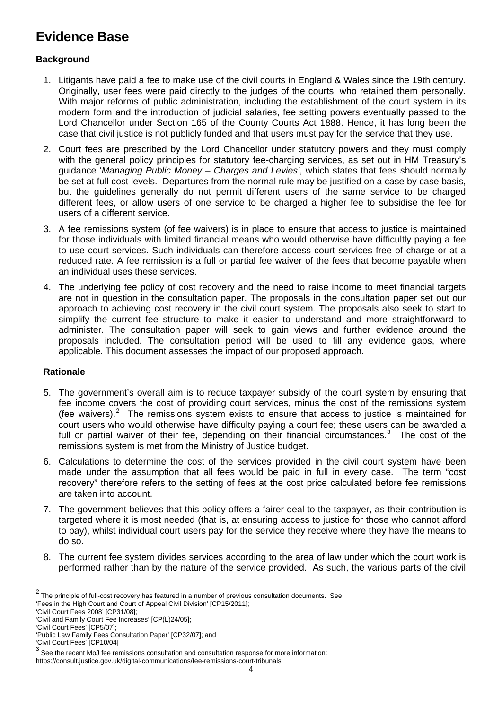# **Evidence Base**

# **Background**

- 1. Litigants have paid a fee to make use of the civil courts in England & Wales since the 19th century. Originally, user fees were paid directly to the judges of the courts, who retained them personally. With major reforms of public administration, including the establishment of the court system in its modern form and the introduction of judicial salaries, fee setting powers eventually passed to the Lord Chancellor under Section 165 of the County Courts Act 1888. Hence, it has long been the case that civil justice is not publicly funded and that users must pay for the service that they use.
- 2. Court fees are prescribed by the Lord Chancellor under statutory powers and they must comply with the general policy principles for statutory fee-charging services, as set out in HM Treasury's guidance '*Managing Public Money – Charges and Levies'*, which states that fees should normally be set at full cost levels. Departures from the normal rule may be justified on a case by case basis, but the guidelines generally do not permit different users of the same service to be charged different fees, or allow users of one service to be charged a higher fee to subsidise the fee for users of a different service.
- 3. A fee remissions system (of fee waivers) is in place to ensure that access to justice is maintained for those individuals with limited financial means who would otherwise have difficultly paying a fee to use court services. Such individuals can therefore access court services free of charge or at a reduced rate. A fee remission is a full or partial fee waiver of the fees that become payable when an individual uses these services.
- 4. The underlying fee policy of cost recovery and the need to raise income to meet financial targets are not in question in the consultation paper. The proposals in the consultation paper set out our approach to achieving cost recovery in the civil court system. The proposals also seek to start to simplify the current fee structure to make it easier to understand and more straightforward to administer. The consultation paper will seek to gain views and further evidence around the proposals included. The consultation period will be used to fill any evidence gaps, where applicable. This document assesses the impact of our proposed approach.

# **Rationale**

- 5. The government's overall aim is to reduce taxpayer subsidy of the court system by ensuring that fee income covers the cost of providing court services, minus the cost of the remissions system (fee waivers).<sup>[2](#page-3-0)</sup> The remissions system exists to ensure that access to justice is maintained for court users who would otherwise have difficulty paying a court fee; these users can be awarded a full or partial waiver of their fee, depending on their financial circumstances.<sup>[3](#page-3-1)</sup> The cost of the remissions system is met from the Ministry of Justice budget.
- 6. Calculations to determine the cost of the services provided in the civil court system have been made under the assumption that all fees would be paid in full in every case. The term "cost recovery" therefore refers to the setting of fees at the cost price calculated before fee remissions are taken into account.
- 7. The government believes that this policy offers a fairer deal to the taxpayer, as their contribution is targeted where it is most needed (that is, at ensuring access to justice for those who cannot afford to pay), whilst individual court users pay for the service they receive where they have the means to do so.
- 8. The current fee system divides services according to the area of law under which the court work is performed rather than by the nature of the service provided. As such, the various parts of the civil

<span id="page-3-0"></span> $2$  The principle of full-cost recovery has featured in a number of previous consultation documents. See:

<sup>&#</sup>x27;Fees in the High Court and Court of Appeal Civil Division' [CP15/2011];

<sup>&#</sup>x27;Civil Court Fees 2008' [CP31/08];

<sup>&#</sup>x27;Civil and Family Court Fee Increases' [CP(L)24/05];

<sup>&#</sup>x27;Civil Court Fees' [CP5/07];

<sup>&#</sup>x27;Public Law Family Fees Consultation Paper' [CP32/07]; and

<sup>&#</sup>x27;Civil Court Fees' [CP10/04]

<span id="page-3-1"></span> $3$  See the recent MoJ fee remissions consultation and consultation response for more information: https://consult.justice.gov.uk/digital-communications/fee-remissions-court-tribunals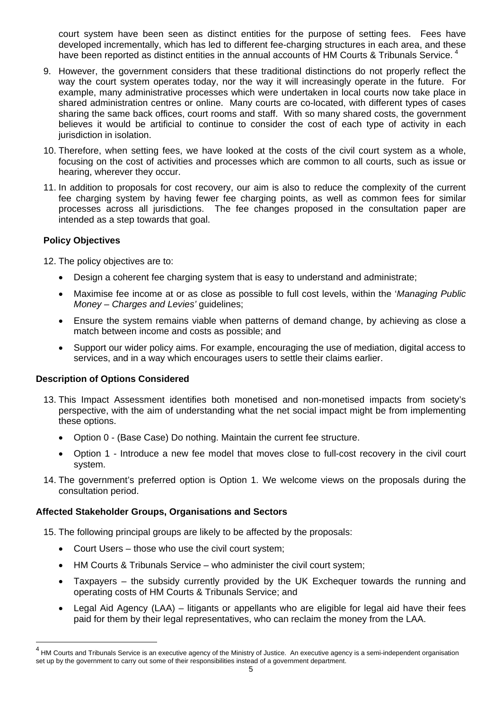court system have been seen as distinct entities for the purpose of setting fees. Fees have developed incrementally, which has led to different fee-charging structures in each area, and these have been reported as distinct entities in the annual accounts of HM Courts & Tribunals Service.

- 9. However, the government considers that these traditional distinctions do not properly reflect the way the court system operates today, nor the way it will increasingly operate in the future. For example, many administrative processes which were undertaken in local courts now take place in shared administration centres or online. Many courts are co-located, with different types of cases sharing the same back offices, court rooms and staff. With so many shared costs, the government believes it would be artificial to continue to consider the cost of each type of activity in each jurisdiction in isolation.
- 10. Therefore, when setting fees, we have looked at the costs of the civil court system as a whole, focusing on the cost of activities and processes which are common to all courts, such as issue or hearing, wherever they occur.
- 11. In addition to proposals for cost recovery, our aim is also to reduce the complexity of the current fee charging system by having fewer fee charging points, as well as common fees for similar processes across all jurisdictions. The fee changes proposed in the consultation paper are intended as a step towards that goal.

# **Policy Objectives**

l

12. The policy objectives are to:

- Design a coherent fee charging system that is easy to understand and administrate;
- Maximise fee income at or as close as possible to full cost levels, within the '*Managing Public Money – Charges and Levies'* guidelines;
- Ensure the system remains viable when patterns of demand change, by achieving as close a match between income and costs as possible; and
- Support our wider policy aims. For example, encouraging the use of mediation, digital access to services, and in a way which encourages users to settle their claims earlier.

# **Description of Options Considered**

- 13. This Impact Assessment identifies both monetised and non-monetised impacts from society's perspective, with the aim of understanding what the net social impact might be from implementing these options.
	- Option 0 (Base Case) Do nothing. Maintain the current fee structure.
	- Option 1 Introduce a new fee model that moves close to full-cost recovery in the civil court system.
- 14. The government's preferred option is Option 1. We welcome views on the proposals during the consultation period.

# **Affected Stakeholder Groups, Organisations and Sectors**

15. The following principal groups are likely to be affected by the proposals:

- Court Users those who use the civil court system;
- HM Courts & Tribunals Service who administer the civil court system;
- Taxpayers the subsidy currently provided by the UK Exchequer towards the running and operating costs of HM Courts & Tribunals Service; and
- Legal Aid Agency (LAA) litigants or appellants who are eligible for legal aid have their fees paid for them by their legal representatives, who can reclaim the money from the LAA.

<sup>&</sup>lt;sup>4</sup> HM Courts and Tribunals Service is an executive agency of the Ministry of Justice. An executive agency is a semi-independent organisation set up by the government to carry out some of their responsibilities instead of a government department.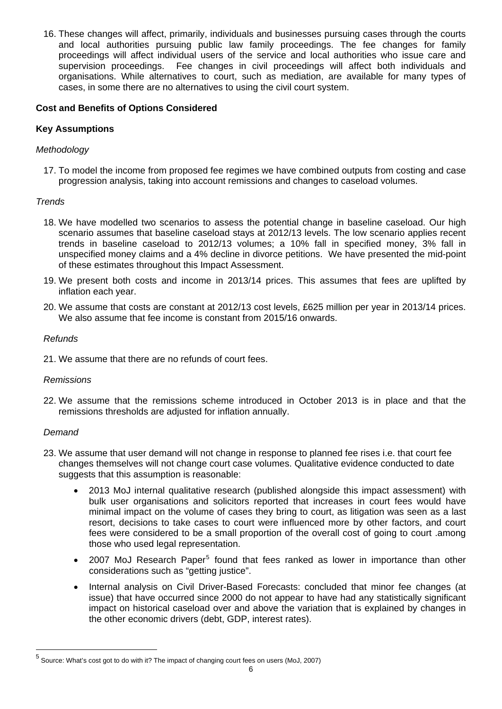16. These changes will affect, primarily, individuals and businesses pursuing cases through the courts and local authorities pursuing public law family proceedings. The fee changes for family proceedings will affect individual users of the service and local authorities who issue care and supervision proceedings. Fee changes in civil proceedings will affect both individuals and organisations. While alternatives to court, such as mediation, are available for many types of cases, in some there are no alternatives to using the civil court system.

# **Cost and Benefits of Options Considered**

# **Key Assumptions**

# *Methodology*

17. To model the income from proposed fee regimes we have combined outputs from costing and case progression analysis, taking into account remissions and changes to caseload volumes.

# *Trends*

- 18. We have modelled two scenarios to assess the potential change in baseline caseload. Our high scenario assumes that baseline caseload stays at 2012/13 levels. The low scenario applies recent trends in baseline caseload to 2012/13 volumes; a 10% fall in specified money, 3% fall in unspecified money claims and a 4% decline in divorce petitions. We have presented the mid-point of these estimates throughout this Impact Assessment.
- 19. We present both costs and income in 2013/14 prices. This assumes that fees are uplifted by inflation each year.
- 20. We assume that costs are constant at 2012/13 cost levels, £625 million per year in 2013/14 prices. We also assume that fee income is constant from 2015/16 onwards.

# *Refunds*

21. We assume that there are no refunds of court fees.

# *Remissions*

22. We assume that the remissions scheme introduced in October 2013 is in place and that the remissions thresholds are adjusted for inflation annually.

# *Demand*

- 23. We assume that user demand will not change in response to planned fee rises i.e. that court fee changes themselves will not change court case volumes. Qualitative evidence conducted to date suggests that this assumption is reasonable:
	- 2013 MoJ internal qualitative research (published alongside this impact assessment) with bulk user organisations and solicitors reported that increases in court fees would have minimal impact on the volume of cases they bring to court, as litigation was seen as a last resort, decisions to take cases to court were influenced more by other factors, and court fees were considered to be a small proportion of the overall cost of going to court .among those who used legal representation.
	- 2007 MoJ Research Paper<sup>[5](#page-5-0)</sup> found that fees ranked as lower in importance than other considerations such as "getting justice".
	- Internal analysis on Civil Driver-Based Forecasts: concluded that minor fee changes (at issue) that have occurred since 2000 do not appear to have had any statistically significant impact on historical caseload over and above the variation that is explained by changes in the other economic drivers (debt, GDP, interest rates).

<span id="page-5-0"></span><sup>&</sup>lt;sup>5</sup> Source: What's cost got to do with it? The impact of changing court fees on users (MoJ, 2007)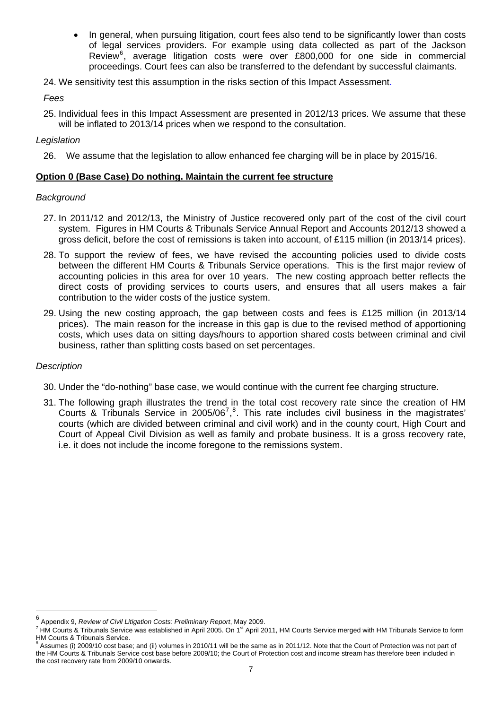In general, when pursuing litigation, court fees also tend to be significantly lower than costs of legal services providers. For example using data collected as part of the Jackson Review<sup>[6](#page-6-0)</sup>, average litigation costs were over £800,000 for one side in commercial proceedings. Court fees can also be transferred to the defendant by successful claimants.

24. We sensitivity test this assumption in the risks section of this Impact Assessment.

*Fees* 

25. Individual fees in this Impact Assessment are presented in 2012/13 prices. We assume that these will be inflated to 2013/14 prices when we respond to the consultation.

# *Legislation*

26. We assume that the legislation to allow enhanced fee charging will be in place by 2015/16.

#### **Option 0 (Base Case) Do nothing. Maintain the current fee structure**

#### *Background*

- 27. In 2011/12 and 2012/13, the Ministry of Justice recovered only part of the cost of the civil court system. Figures in HM Courts & Tribunals Service Annual Report and Accounts 2012/13 showed a gross deficit, before the cost of remissions is taken into account, of £115 million (in 2013/14 prices).
- 28. To support the review of fees, we have revised the accounting policies used to divide costs between the different HM Courts & Tribunals Service operations. This is the first major review of accounting policies in this area for over 10 years. The new costing approach better reflects the direct costs of providing services to courts users, and ensures that all users makes a fair contribution to the wider costs of the justice system.
- 29. Using the new costing approach, the gap between costs and fees is £125 million (in 2013/14 prices). The main reason for the increase in this gap is due to the revised method of apportioning costs, which uses data on sitting days/hours to apportion shared costs between criminal and civil business, rather than splitting costs based on set percentages.

# *Description*

- 30. Under the "do-nothing" base case, we would continue with the current fee charging structure.
- 31. The following graph illustrates the trend in the total cost recovery rate since the creation of HM Courts & Tribunals Service in 2005/06<sup>[7](#page-6-1)</sup>,<sup>[8](#page-6-2)</sup>. This rate includes civil business in the magistrates' courts (which are divided between criminal and civil work) and in the county court, High Court and Court of Appeal Civil Division as well as family and probate business. It is a gross recovery rate, i.e. it does not include the income foregone to the remissions system.

<span id="page-6-0"></span><sup>6</sup> Appendix 9, *Review of Civil Litigation Costs: Preliminary Report*, May 2009. 7

<span id="page-6-1"></span> $^7$  HM Courts & Tribunals Service was established in April 2005. On 1st April 2011, HM Courts Service merged with HM Tribunals Service to form HM Courts & Tribunals Service.

<span id="page-6-2"></span> $^8$  Assumes (i) 2009/10 cost base; and (ii) volumes in 2010/11 will be the same as in 2011/12. Note that the Court of Protection was not part of the HM Courts & Tribunals Service cost base before 2009/10; the Court of Protection cost and income stream has therefore been included in the cost recovery rate from 2009/10 onwards.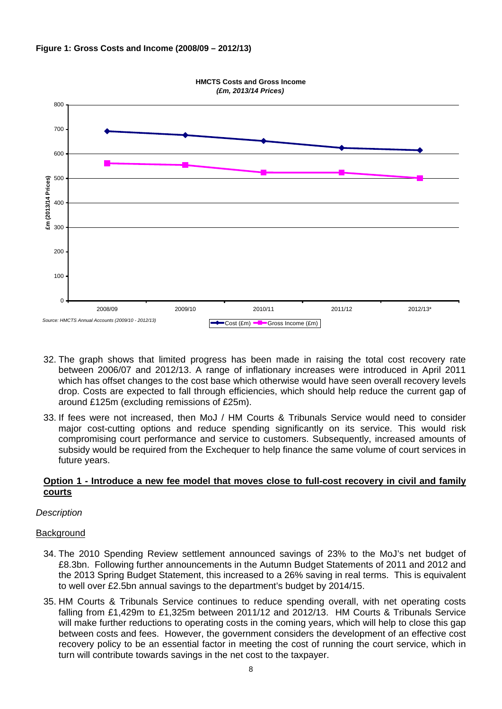



- 32. The graph shows that limited progress has been made in raising the total cost recovery rate between 2006/07 and 2012/13. A range of inflationary increases were introduced in April 2011 which has offset changes to the cost base which otherwise would have seen overall recovery levels drop. Costs are expected to fall through efficiencies, which should help reduce the current gap of around £125m (excluding remissions of £25m).
- 33. If fees were not increased, then MoJ / HM Courts & Tribunals Service would need to consider major cost-cutting options and reduce spending significantly on its service. This would risk compromising court performance and service to customers. Subsequently, increased amounts of subsidy would be required from the Exchequer to help finance the same volume of court services in future years.

#### **Option 1 - Introduce a new fee model that moves close to full-cost recovery in civil and family courts**

# *Description*

#### **Background**

- 34. The 2010 Spending Review settlement announced savings of 23% to the MoJ's net budget of £8.3bn. Following further announcements in the Autumn Budget Statements of 2011 and 2012 and the 2013 Spring Budget Statement, this increased to a 26% saving in real terms. This is equivalent to well over £2.5bn annual savings to the department's budget by 2014/15.
- 35. HM Courts & Tribunals Service continues to reduce spending overall, with net operating costs falling from £1,429m to £1,325m between 2011/12 and 2012/13. HM Courts & Tribunals Service will make further reductions to operating costs in the coming years, which will help to close this gap between costs and fees. However, the government considers the development of an effective cost recovery policy to be an essential factor in meeting the cost of running the court service, which in turn will contribute towards savings in the net cost to the taxpayer.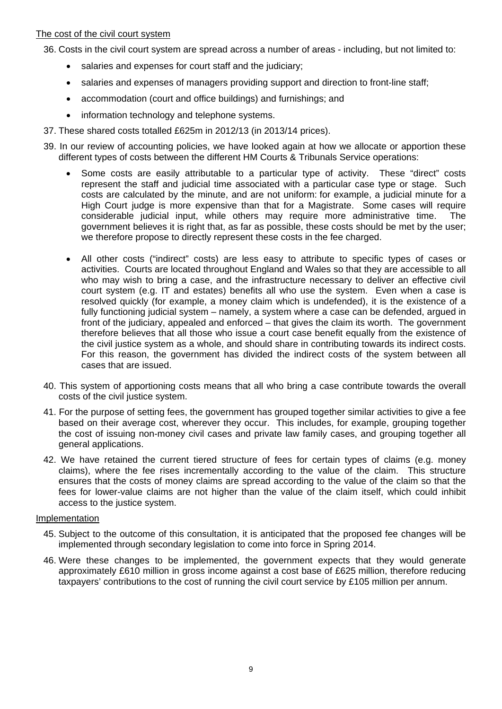#### The cost of the civil court system

36. Costs in the civil court system are spread across a number of areas - including, but not limited to:

- salaries and expenses for court staff and the judiciary;
- salaries and expenses of managers providing support and direction to front-line staff;
- accommodation (court and office buildings) and furnishings; and
- information technology and telephone systems.
- 37. These shared costs totalled £625m in 2012/13 (in 2013/14 prices).
- 39. In our review of accounting policies, we have looked again at how we allocate or apportion these different types of costs between the different HM Courts & Tribunals Service operations:
	- Some costs are easily attributable to a particular type of activity. These "direct" costs represent the staff and judicial time associated with a particular case type or stage. Such costs are calculated by the minute, and are not uniform: for example, a judicial minute for a High Court judge is more expensive than that for a Magistrate. Some cases will require considerable judicial input, while others may require more administrative time. The government believes it is right that, as far as possible, these costs should be met by the user; we therefore propose to directly represent these costs in the fee charged.
	- All other costs ("indirect" costs) are less easy to attribute to specific types of cases or activities. Courts are located throughout England and Wales so that they are accessible to all who may wish to bring a case, and the infrastructure necessary to deliver an effective civil court system (e.g. IT and estates) benefits all who use the system. Even when a case is resolved quickly (for example, a money claim which is undefended), it is the existence of a fully functioning judicial system – namely, a system where a case can be defended, argued in front of the judiciary, appealed and enforced – that gives the claim its worth. The government therefore believes that all those who issue a court case benefit equally from the existence of the civil justice system as a whole, and should share in contributing towards its indirect costs. For this reason, the government has divided the indirect costs of the system between all cases that are issued.
- 40. This system of apportioning costs means that all who bring a case contribute towards the overall costs of the civil justice system.
- 41. For the purpose of setting fees, the government has grouped together similar activities to give a fee based on their average cost, wherever they occur. This includes, for example, grouping together the cost of issuing non-money civil cases and private law family cases, and grouping together all general applications.
- 42. We have retained the current tiered structure of fees for certain types of claims (e.g. money claims), where the fee rises incrementally according to the value of the claim. This structure ensures that the costs of money claims are spread according to the value of the claim so that the fees for lower-value claims are not higher than the value of the claim itself, which could inhibit access to the justice system.

### Implementation

- 45. Subject to the outcome of this consultation, it is anticipated that the proposed fee changes will be implemented through secondary legislation to come into force in Spring 2014.
- 46. Were these changes to be implemented, the government expects that they would generate approximately £610 million in gross income against a cost base of £625 million, therefore reducing taxpayers' contributions to the cost of running the civil court service by £105 million per annum.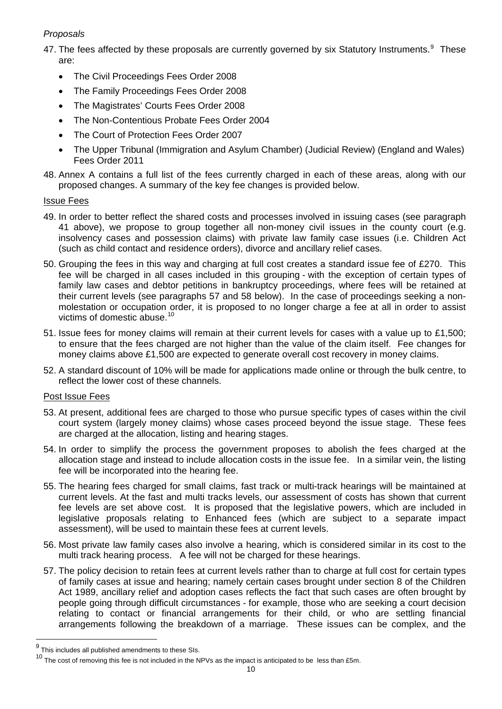# *Proposals*

47. The fees affected by these proposals are currently governed by six Statutory Instruments.  $9$  These are:

- The Civil Proceedings Fees Order 2008
- The Family Proceedings Fees Order 2008
- The Magistrates' Courts Fees Order 2008
- The Non-Contentious Probate Fees Order 2004
- The Court of Protection Fees Order 2007
- The Upper Tribunal (Immigration and Asylum Chamber) (Judicial Review) (England and Wales) Fees Order 2011
- 48. Annex A contains a full list of the fees currently charged in each of these areas, along with our proposed changes. A summary of the key fee changes is provided below.

# Issue Fees

- 49. In order to better reflect the shared costs and processes involved in issuing cases (see paragraph 41 above), we propose to group together all non-money civil issues in the county court (e.g. insolvency cases and possession claims) with private law family case issues (i.e. Children Act (such as child contact and residence orders), divorce and ancillary relief cases.
- 50. Grouping the fees in this way and charging at full cost creates a standard issue fee of £270. This fee will be charged in all cases included in this grouping - with the exception of certain types of family law cases and debtor petitions in bankruptcy proceedings, where fees will be retained at their current levels (see paragraphs 57 and 58 below). In the case of proceedings seeking a nonmolestation or occupation order, it is proposed to no longer charge a fee at all in order to assist victims of domestic abuse.<sup>[10](#page-9-1)</sup>
- 51. Issue fees for money claims will remain at their current levels for cases with a value up to £1,500; to ensure that the fees charged are not higher than the value of the claim itself. Fee changes for money claims above £1,500 are expected to generate overall cost recovery in money claims.
- 52. A standard discount of 10% will be made for applications made online or through the bulk centre, to reflect the lower cost of these channels.

# Post Issue Fees

- 53. At present, additional fees are charged to those who pursue specific types of cases within the civil court system (largely money claims) whose cases proceed beyond the issue stage. These fees are charged at the allocation, listing and hearing stages.
- 54. In order to simplify the process the government proposes to abolish the fees charged at the allocation stage and instead to include allocation costs in the issue fee. In a similar vein, the listing fee will be incorporated into the hearing fee.
- 55. The hearing fees charged for small claims, fast track or multi-track hearings will be maintained at current levels. At the fast and multi tracks levels, our assessment of costs has shown that current fee levels are set above cost. It is proposed that the legislative powers, which are included in legislative proposals relating to Enhanced fees (which are subject to a separate impact assessment), will be used to maintain these fees at current levels.
- 56. Most private law family cases also involve a hearing, which is considered similar in its cost to the multi track hearing process. A fee will not be charged for these hearings.
- 57. The policy decision to retain fees at current levels rather than to charge at full cost for certain types of family cases at issue and hearing; namely certain cases brought under section 8 of the Children Act 1989, ancillary relief and adoption cases reflects the fact that such cases are often brought by people going through difficult circumstances - for example, those who are seeking a court decision relating to contact or financial arrangements for their child, or who are settling financial arrangements following the breakdown of a marriage. These issues can be complex, and the

<span id="page-9-0"></span> $9$  This includes all published amendments to these SIs.

<span id="page-9-1"></span> $10$  The cost of removing this fee is not included in the NPVs as the impact is anticipated to be less than £5m.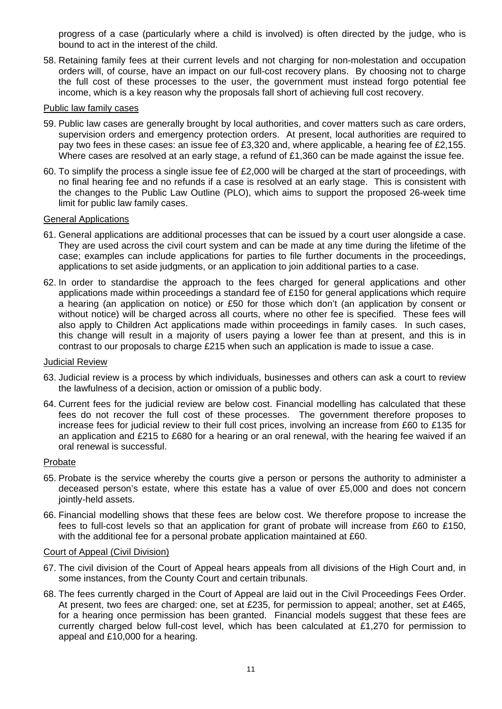progress of a case (particularly where a child is involved) is often directed by the judge, who is bound to act in the interest of the child.

58. Retaining family fees at their current levels and not charging for non-molestation and occupation orders will, of course, have an impact on our full-cost recovery plans. By choosing not to charge the full cost of these processes to the user, the government must instead forgo potential fee income, which is a key reason why the proposals fall short of achieving full cost recovery.

#### Public law family cases

- 59. Public law cases are generally brought by local authorities, and cover matters such as care orders, supervision orders and emergency protection orders. At present, local authorities are required to pay two fees in these cases: an issue fee of £3,320 and, where applicable, a hearing fee of £2,155. Where cases are resolved at an early stage, a refund of £1,360 can be made against the issue fee.
- 60. To simplify the process a single issue fee of £2,000 will be charged at the start of proceedings, with no final hearing fee and no refunds if a case is resolved at an early stage. This is consistent with the changes to the Public Law Outline (PLO), which aims to support the proposed 26-week time limit for public law family cases.

# General Applications

- 61. General applications are additional processes that can be issued by a court user alongside a case. They are used across the civil court system and can be made at any time during the lifetime of the case; examples can include applications for parties to file further documents in the proceedings, applications to set aside judgments, or an application to join additional parties to a case.
- 62. In order to standardise the approach to the fees charged for general applications and other applications made within proceedings a standard fee of £150 for general applications which require a hearing (an application on notice) or £50 for those which don't (an application by consent or without notice) will be charged across all courts, where no other fee is specified. These fees will also apply to Children Act applications made within proceedings in family cases. In such cases, this change will result in a majority of users paying a lower fee than at present, and this is in contrast to our proposals to charge £215 when such an application is made to issue a case.

#### Judicial Review

- 63. Judicial review is a process by which individuals, businesses and others can ask a court to review the lawfulness of a decision, action or omission of a public body.
- 64. Current fees for the judicial review are below cost. Financial modelling has calculated that these fees do not recover the full cost of these processes. The government therefore proposes to increase fees for judicial review to their full cost prices, involving an increase from £60 to £135 for an application and £215 to £680 for a hearing or an oral renewal, with the hearing fee waived if an oral renewal is successful.

#### Probate

- 65. Probate is the service whereby the courts give a person or persons the authority to administer a deceased person's estate, where this estate has a value of over £5,000 and does not concern jointly-held assets.
- 66. Financial modelling shows that these fees are below cost. We therefore propose to increase the fees to full-cost levels so that an application for grant of probate will increase from £60 to £150, with the additional fee for a personal probate application maintained at £60.

#### Court of Appeal (Civil Division)

- 67. The civil division of the Court of Appeal hears appeals from all divisions of the High Court and, in some instances, from the County Court and certain tribunals.
- 68. The fees currently charged in the Court of Appeal are laid out in the Civil Proceedings Fees Order. At present, two fees are charged: one, set at £235, for permission to appeal; another, set at £465, for a hearing once permission has been granted. Financial models suggest that these fees are currently charged below full-cost level, which has been calculated at £1,270 for permission to appeal and £10,000 for a hearing.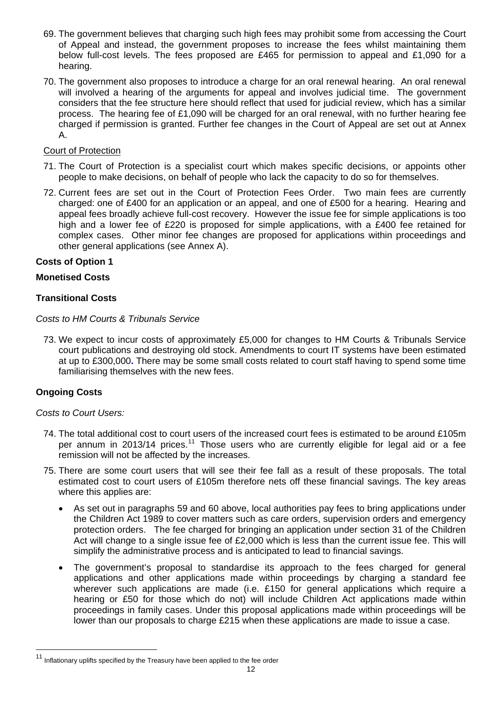- 69. The government believes that charging such high fees may prohibit some from accessing the Court of Appeal and instead, the government proposes to increase the fees whilst maintaining them below full-cost levels. The fees proposed are £465 for permission to appeal and £1,090 for a hearing.
- 70. The government also proposes to introduce a charge for an oral renewal hearing. An oral renewal will involved a hearing of the arguments for appeal and involves judicial time. The government considers that the fee structure here should reflect that used for judicial review, which has a similar process. The hearing fee of £1,090 will be charged for an oral renewal, with no further hearing fee charged if permission is granted. Further fee changes in the Court of Appeal are set out at Annex A.

# Court of Protection

- 71. The Court of Protection is a specialist court which makes specific decisions, or appoints other people to make decisions, on behalf of people who lack the capacity to do so for themselves.
- 72. Current fees are set out in the Court of Protection Fees Order. Two main fees are currently charged: one of £400 for an application or an appeal, and one of £500 for a hearing. Hearing and appeal fees broadly achieve full-cost recovery. However the issue fee for simple applications is too high and a lower fee of £220 is proposed for simple applications, with a £400 fee retained for complex cases. Other minor fee changes are proposed for applications within proceedings and other general applications (see Annex A).

# **Costs of Option 1**

# **Monetised Costs**

# **Transitional Costs**

*Costs to HM Courts & Tribunals Service* 

73. We expect to incur costs of approximately £5,000 for changes to HM Courts & Tribunals Service court publications and destroying old stock. Amendments to court IT systems have been estimated at up to £300,000**.** There may be some small costs related to court staff having to spend some time familiarising themselves with the new fees.

# **Ongoing Costs**

l

# *Costs to Court Users:*

- 74. The total additional cost to court users of the increased court fees is estimated to be around £105m per annum in 2013/14 prices.<sup>[11](#page-11-0)</sup> Those users who are currently eligible for legal aid or a fee remission will not be affected by the increases.
- 75. There are some court users that will see their fee fall as a result of these proposals. The total estimated cost to court users of £105m therefore nets off these financial savings. The key areas where this applies are:
	- As set out in paragraphs 59 and 60 above, local authorities pay fees to bring applications under the Children Act 1989 to cover matters such as care orders, supervision orders and emergency protection orders. The fee charged for bringing an application under section 31 of the Children Act will change to a single issue fee of £2,000 which is less than the current issue fee. This will simplify the administrative process and is anticipated to lead to financial savings.
	- The government's proposal to standardise its approach to the fees charged for general applications and other applications made within proceedings by charging a standard fee wherever such applications are made (i.e. £150 for general applications which require a hearing or £50 for those which do not) will include Children Act applications made within proceedings in family cases. Under this proposal applications made within proceedings will be lower than our proposals to charge £215 when these applications are made to issue a case.

<span id="page-11-0"></span>Inflationary uplifts specified by the Treasury have been applied to the fee order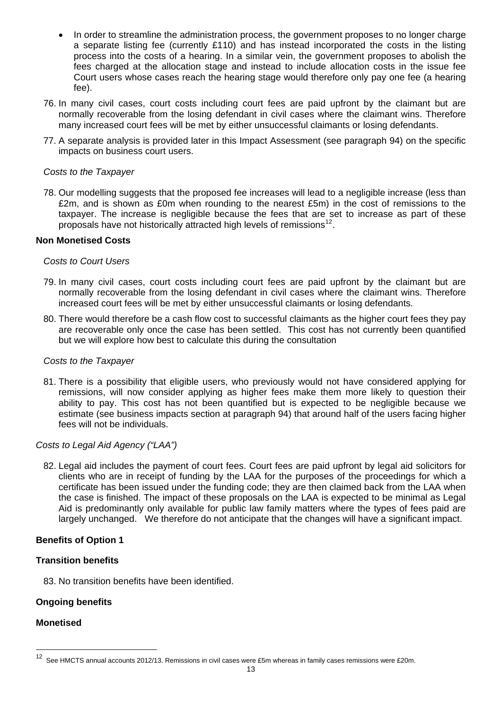- In order to streamline the administration process, the government proposes to no longer charge a separate listing fee (currently £110) and has instead incorporated the costs in the listing process into the costs of a hearing. In a similar vein, the government proposes to abolish the fees charged at the allocation stage and instead to include allocation costs in the issue fee Court users whose cases reach the hearing stage would therefore only pay one fee (a hearing fee).
- 76. In many civil cases, court costs including court fees are paid upfront by the claimant but are normally recoverable from the losing defendant in civil cases where the claimant wins. Therefore many increased court fees will be met by either unsuccessful claimants or losing defendants.
- 77. A separate analysis is provided later in this Impact Assessment (see paragraph 94) on the specific impacts on business court users.

### *Costs to the Taxpayer*

78. Our modelling suggests that the proposed fee increases will lead to a negligible increase (less than £2m, and is shown as £0m when rounding to the nearest £5m) in the cost of remissions to the taxpayer. The increase is negligible because the fees that are set to increase as part of these proposals have not historically attracted high levels of remissions<sup>[12](#page-12-0)</sup>.

#### **Non Monetised Costs**

#### *Costs to Court Users*

- 79. In many civil cases, court costs including court fees are paid upfront by the claimant but are normally recoverable from the losing defendant in civil cases where the claimant wins. Therefore increased court fees will be met by either unsuccessful claimants or losing defendants.
- 80. There would therefore be a cash flow cost to successful claimants as the higher court fees they pay are recoverable only once the case has been settled. This cost has not currently been quantified but we will explore how best to calculate this during the consultation

#### *Costs to the Taxpayer*

81. There is a possibility that eligible users, who previously would not have considered applying for remissions, will now consider applying as higher fees make them more likely to question their ability to pay. This cost has not been quantified but is expected to be negligible because we estimate (see business impacts section at paragraph 94) that around half of the users facing higher fees will not be individuals.

#### *Costs to Legal Aid Agency ("LAA")*

82. Legal aid includes the payment of court fees. Court fees are paid upfront by legal aid solicitors for clients who are in receipt of funding by the LAA for the purposes of the proceedings for which a certificate has been issued under the funding code; they are then claimed back from the LAA when the case is finished. The impact of these proposals on the LAA is expected to be minimal as Legal Aid is predominantly only available for public law family matters where the types of fees paid are largely unchanged. We therefore do not anticipate that the changes will have a significant impact.

# **Benefits of Option 1**

#### **Transition benefits**

83. No transition benefits have been identified.

# **Ongoing benefits**

# **Monetised**

<span id="page-12-0"></span><sup>12</sup> See HMCTS annual accounts 2012/13. Remissions in civil cases were £5m whereas in family cases remissions were £20m.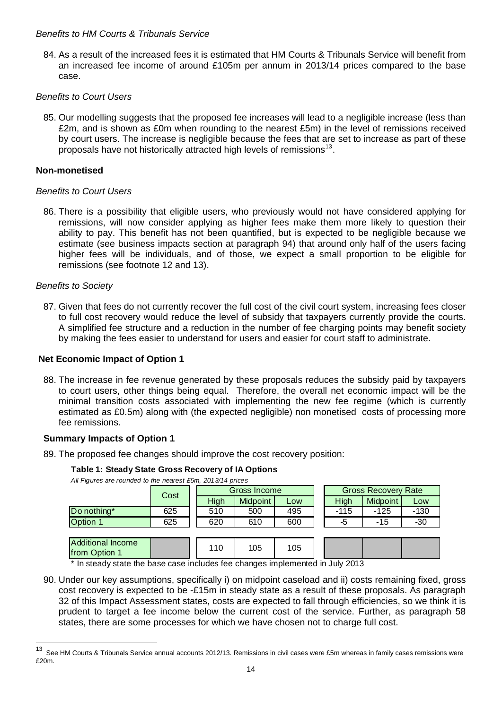### *Benefits to HM Courts & Tribunals Service*

84. As a result of the increased fees it is estimated that HM Courts & Tribunals Service will benefit from an increased fee income of around £105m per annum in 2013/14 prices compared to the base case.

# *Benefits to Court Users*

85. Our modelling suggests that the proposed fee increases will lead to a negligible increase (less than £2m, and is shown as £0m when rounding to the nearest £5m) in the level of remissions received by court users. The increase is negligible because the fees that are set to increase as part of these proposals have not historically attracted high levels of remissions<sup>[13](#page-13-0)</sup>.

### **Non-monetised**

#### *Benefits to Court Users*

86. There is a possibility that eligible users, who previously would not have considered applying for remissions, will now consider applying as higher fees make them more likely to question their ability to pay. This benefit has not been quantified, but is expected to be negligible because we estimate (see business impacts section at paragraph 94) that around only half of the users facing higher fees will be individuals, and of those, we expect a small proportion to be eligible for remissions (see footnote 12 and 13).

#### *Benefits to Society*

l

87. Given that fees do not currently recover the full cost of the civil court system, increasing fees closer to full cost recovery would reduce the level of subsidy that taxpayers currently provide the courts. A simplified fee structure and a reduction in the number of fee charging points may benefit society by making the fees easier to understand for users and easier for court staff to administrate.

#### **Net Economic Impact of Option 1**

88. The increase in fee revenue generated by these proposals reduces the subsidy paid by taxpayers to court users, other things being equal. Therefore, the overall net economic impact will be the minimal transition costs associated with implementing the new fee regime (which is currently estimated as £0.5m) along with (the expected negligible) non monetised costs of processing more fee remissions.

#### **Summary Impacts of Option 1**

89. The proposed fee changes should improve the cost recovery position:

#### **Table 1: Steady State Gross Recovery of IA Options**

*All Figures are rounded to the nearest £5m, 2013/14 prices*

| $1.011$ required and rounded to the nearest zoni, zo require phose |      |              |                 |     |  |                            |                 |        |
|--------------------------------------------------------------------|------|--------------|-----------------|-----|--|----------------------------|-----------------|--------|
|                                                                    | Cost | Gross Income |                 |     |  | <b>Gross Recovery Rate</b> |                 |        |
|                                                                    |      | High         | <b>Midpoint</b> | Low |  | High                       | <b>Midpoint</b> | Low    |
| Do nothing*                                                        | 625  | 510          | 500             | 495 |  | $-115$                     | $-125$          | $-130$ |
| Option 1                                                           | 625  | 620          | 610             | 600 |  | -5                         | -15             | $-30$  |
|                                                                    |      |              |                 |     |  |                            |                 |        |
| Additional Income<br>from Option 1                                 |      | 110          | 105             | 105 |  |                            |                 |        |

\* In steady state the base case includes fee changes implemented in July 2013

90. Under our key assumptions, specifically i) on midpoint caseload and ii) costs remaining fixed, gross cost recovery is expected to be -£15m in steady state as a result of these proposals. As paragraph 32 of this Impact Assessment states, costs are expected to fall through efficiencies, so we think it is prudent to target a fee income below the current cost of the service. Further, as paragraph 58 states, there are some processes for which we have chosen not to charge full cost.

<span id="page-13-0"></span><sup>13</sup> See HM Courts & Tribunals Service annual accounts 2012/13. Remissions in civil cases were £5m whereas in family cases remissions were £20m.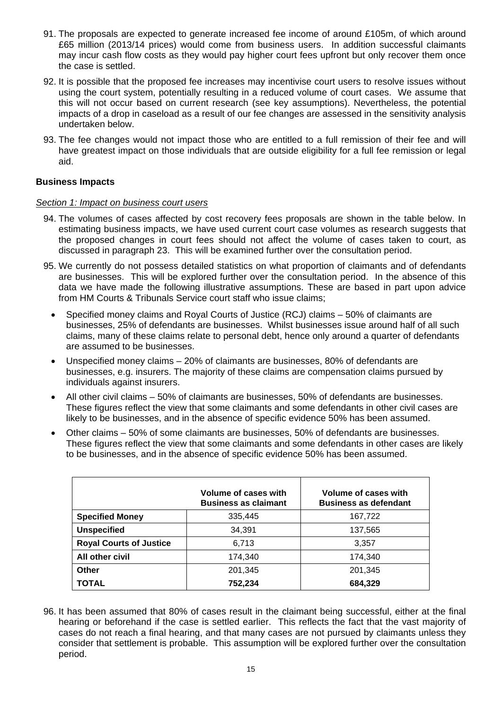- 91. The proposals are expected to generate increased fee income of around £105m, of which around £65 million (2013/14 prices) would come from business users. In addition successful claimants may incur cash flow costs as they would pay higher court fees upfront but only recover them once the case is settled.
- 92. It is possible that the proposed fee increases may incentivise court users to resolve issues without using the court system, potentially resulting in a reduced volume of court cases. We assume that this will not occur based on current research (see key assumptions). Nevertheless, the potential impacts of a drop in caseload as a result of our fee changes are assessed in the sensitivity analysis undertaken below.
- 93. The fee changes would not impact those who are entitled to a full remission of their fee and will have greatest impact on those individuals that are outside eligibility for a full fee remission or legal aid.

# **Business Impacts**

# *Section 1: Impact on business court users*

- 94. The volumes of cases affected by cost recovery fees proposals are shown in the table below. In estimating business impacts, we have used current court case volumes as research suggests that the proposed changes in court fees should not affect the volume of cases taken to court, as discussed in paragraph 23. This will be examined further over the consultation period.
- 95. We currently do not possess detailed statistics on what proportion of claimants and of defendants are businesses. This will be explored further over the consultation period. In the absence of this data we have made the following illustrative assumptions. These are based in part upon advice from HM Courts & Tribunals Service court staff who issue claims;
	- Specified money claims and Royal Courts of Justice (RCJ) claims 50% of claimants are businesses, 25% of defendants are businesses. Whilst businesses issue around half of all such claims, many of these claims relate to personal debt, hence only around a quarter of defendants are assumed to be businesses.
	- Unspecified money claims 20% of claimants are businesses, 80% of defendants are businesses, e.g. insurers. The majority of these claims are compensation claims pursued by individuals against insurers.
	- All other civil claims 50% of claimants are businesses, 50% of defendants are businesses. These figures reflect the view that some claimants and some defendants in other civil cases are likely to be businesses, and in the absence of specific evidence 50% has been assumed.
	- Other claims 50% of some claimants are businesses, 50% of defendants are businesses. These figures reflect the view that some claimants and some defendants in other cases are likely to be businesses, and in the absence of specific evidence 50% has been assumed.

|                                | Volume of cases with<br><b>Business as claimant</b> | Volume of cases with<br><b>Business as defendant</b> |
|--------------------------------|-----------------------------------------------------|------------------------------------------------------|
| <b>Specified Money</b>         | 335,445                                             | 167,722                                              |
| <b>Unspecified</b>             | 34,391                                              | 137,565                                              |
| <b>Royal Courts of Justice</b> | 6,713                                               | 3,357                                                |
| All other civil                | 174.340                                             | 174.340                                              |
| Other                          | 201,345                                             | 201,345                                              |
| <b>TOTAL</b>                   | 752,234                                             | 684,329                                              |

96. It has been assumed that 80% of cases result in the claimant being successful, either at the final hearing or beforehand if the case is settled earlier. This reflects the fact that the vast majority of cases do not reach a final hearing, and that many cases are not pursued by claimants unless they consider that settlement is probable. This assumption will be explored further over the consultation period.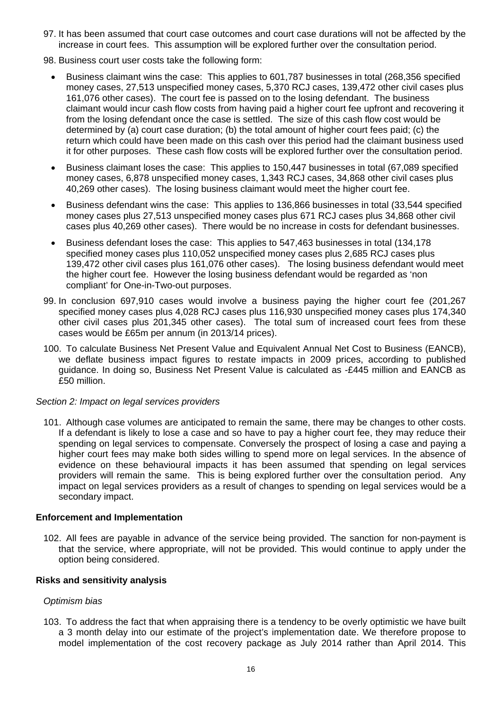- 97. It has been assumed that court case outcomes and court case durations will not be affected by the increase in court fees. This assumption will be explored further over the consultation period.
- 98. Business court user costs take the following form:
	- Business claimant wins the case: This applies to 601,787 businesses in total (268,356 specified money cases, 27,513 unspecified money cases, 5,370 RCJ cases, 139,472 other civil cases plus 161,076 other cases). The court fee is passed on to the losing defendant. The business claimant would incur cash flow costs from having paid a higher court fee upfront and recovering it from the losing defendant once the case is settled. The size of this cash flow cost would be determined by (a) court case duration; (b) the total amount of higher court fees paid; (c) the return which could have been made on this cash over this period had the claimant business used it for other purposes. These cash flow costs will be explored further over the consultation period.
	- Business claimant loses the case: This applies to 150,447 businesses in total (67,089 specified money cases, 6,878 unspecified money cases, 1,343 RCJ cases, 34,868 other civil cases plus 40,269 other cases). The losing business claimant would meet the higher court fee.
	- Business defendant wins the case: This applies to 136,866 businesses in total (33,544 specified money cases plus 27,513 unspecified money cases plus 671 RCJ cases plus 34,868 other civil cases plus 40,269 other cases). There would be no increase in costs for defendant businesses.
	- Business defendant loses the case: This applies to 547,463 businesses in total (134,178 specified money cases plus 110,052 unspecified money cases plus 2,685 RCJ cases plus 139,472 other civil cases plus 161,076 other cases). The losing business defendant would meet the higher court fee. However the losing business defendant would be regarded as 'non compliant' for One-in-Two-out purposes.
- 99. In conclusion 697,910 cases would involve a business paying the higher court fee (201,267 specified money cases plus 4,028 RCJ cases plus 116,930 unspecified money cases plus 174,340 other civil cases plus 201,345 other cases). The total sum of increased court fees from these cases would be £65m per annum (in 2013/14 prices).
- 100. To calculate Business Net Present Value and Equivalent Annual Net Cost to Business (EANCB), we deflate business impact figures to restate impacts in 2009 prices, according to published guidance. In doing so, Business Net Present Value is calculated as -£445 million and EANCB as £50 million.

# *Section 2: Impact on legal services providers*

101. Although case volumes are anticipated to remain the same, there may be changes to other costs. If a defendant is likely to lose a case and so have to pay a higher court fee, they may reduce their spending on legal services to compensate. Conversely the prospect of losing a case and paying a higher court fees may make both sides willing to spend more on legal services. In the absence of evidence on these behavioural impacts it has been assumed that spending on legal services providers will remain the same. This is being explored further over the consultation period. Any impact on legal services providers as a result of changes to spending on legal services would be a secondary impact.

#### **Enforcement and Implementation**

102. All fees are payable in advance of the service being provided. The sanction for non-payment is that the service, where appropriate, will not be provided. This would continue to apply under the option being considered.

# **Risks and sensitivity analysis**

# *Optimism bias*

103. To address the fact that when appraising there is a tendency to be overly optimistic we have built a 3 month delay into our estimate of the project's implementation date. We therefore propose to model implementation of the cost recovery package as July 2014 rather than April 2014. This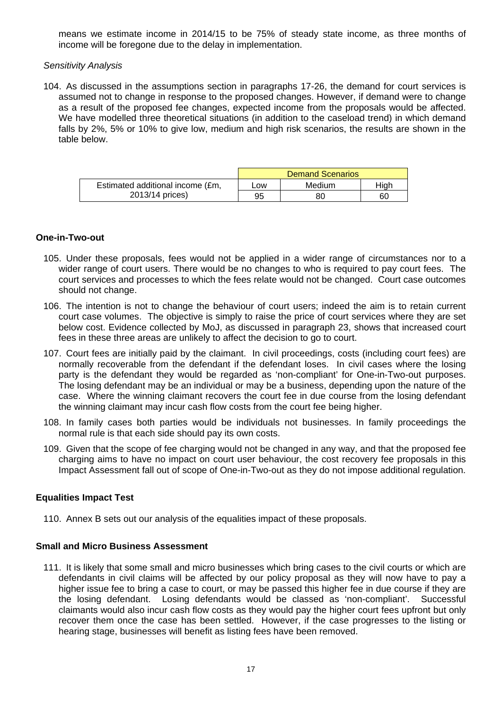means we estimate income in 2014/15 to be 75% of steady state income, as three months of income will be foregone due to the delay in implementation.

### *Sensitivity Analysis*

104. As discussed in the assumptions section in paragraphs 17-26, the demand for court services is assumed not to change in response to the proposed changes. However, if demand were to change as a result of the proposed fee changes, expected income from the proposals would be affected. We have modelled three theoretical situations (in addition to the caseload trend) in which demand falls by 2%, 5% or 10% to give low, medium and high risk scenarios, the results are shown in the table below.

|                                  | <b>Demand Scenarios</b> |        |      |  |  |
|----------------------------------|-------------------------|--------|------|--|--|
| Estimated additional income (£m, | LOW                     | Medium | High |  |  |
| 2013/14 prices)                  | 95                      | 80     | 60   |  |  |

#### **One-in-Two-out**

- 105. Under these proposals, fees would not be applied in a wider range of circumstances nor to a wider range of court users. There would be no changes to who is required to pay court fees. The court services and processes to which the fees relate would not be changed. Court case outcomes should not change.
- 106. The intention is not to change the behaviour of court users; indeed the aim is to retain current court case volumes. The objective is simply to raise the price of court services where they are set below cost. Evidence collected by MoJ, as discussed in paragraph 23, shows that increased court fees in these three areas are unlikely to affect the decision to go to court.
- 107. Court fees are initially paid by the claimant. In civil proceedings, costs (including court fees) are normally recoverable from the defendant if the defendant loses. In civil cases where the losing party is the defendant they would be regarded as 'non-compliant' for One-in-Two-out purposes. The losing defendant may be an individual or may be a business, depending upon the nature of the case. Where the winning claimant recovers the court fee in due course from the losing defendant the winning claimant may incur cash flow costs from the court fee being higher.
- 108. In family cases both parties would be individuals not businesses. In family proceedings the normal rule is that each side should pay its own costs.
- 109. Given that the scope of fee charging would not be changed in any way, and that the proposed fee charging aims to have no impact on court user behaviour, the cost recovery fee proposals in this Impact Assessment fall out of scope of One-in-Two-out as they do not impose additional regulation.

# **Equalities Impact Test**

110. Annex B sets out our analysis of the equalities impact of these proposals.

# **Small and Micro Business Assessment**

111. It is likely that some small and micro businesses which bring cases to the civil courts or which are defendants in civil claims will be affected by our policy proposal as they will now have to pay a higher issue fee to bring a case to court, or may be passed this higher fee in due course if they are the losing defendant. Losing defendants would be classed as 'non-compliant'. Successful claimants would also incur cash flow costs as they would pay the higher court fees upfront but only recover them once the case has been settled. However, if the case progresses to the listing or hearing stage, businesses will benefit as listing fees have been removed.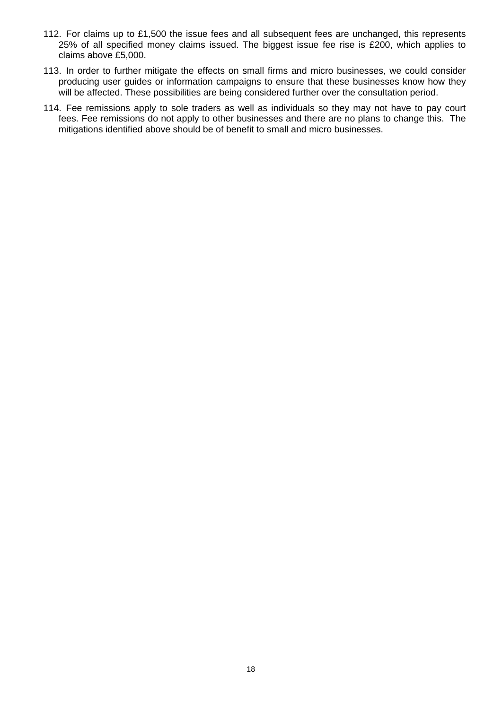- 112. For claims up to £1,500 the issue fees and all subsequent fees are unchanged, this represents 25% of all specified money claims issued. The biggest issue fee rise is £200, which applies to claims above £5,000.
- 113. In order to further mitigate the effects on small firms and micro businesses, we could consider producing user guides or information campaigns to ensure that these businesses know how they will be affected. These possibilities are being considered further over the consultation period.
- 114. Fee remissions apply to sole traders as well as individuals so they may not have to pay court fees. Fee remissions do not apply to other businesses and there are no plans to change this. The mitigations identified above should be of benefit to small and micro businesses.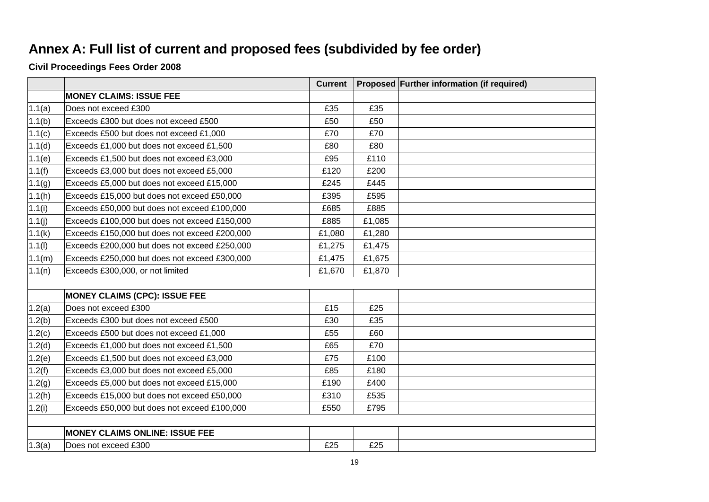# **Annex A: Full list of current and proposed fees (subdivided by fee order)**

**Civil Proceedings Fees Order 2008** 

|        |                                               | <b>Current</b> |        | Proposed Further information (if required) |
|--------|-----------------------------------------------|----------------|--------|--------------------------------------------|
|        | <b>MONEY CLAIMS: ISSUE FEE</b>                |                |        |                                            |
| 1.1(a) | Does not exceed £300                          | £35            | £35    |                                            |
| 1.1(b) | Exceeds £300 but does not exceed £500         | £50            | £50    |                                            |
| 1.1(c) | Exceeds £500 but does not exceed £1,000       | £70            | £70    |                                            |
| 1.1(d) | Exceeds £1,000 but does not exceed £1,500     | £80            | £80    |                                            |
| 1.1(e) | Exceeds £1,500 but does not exceed £3,000     | £95            | £110   |                                            |
| 1.1(f) | Exceeds £3,000 but does not exceed £5,000     | £120           | £200   |                                            |
| 1.1(g) | Exceeds £5,000 but does not exceed £15,000    | £245           | £445   |                                            |
| 1.1(h) | Exceeds £15,000 but does not exceed £50,000   | £395           | £595   |                                            |
| 1.1(i) | Exceeds £50,000 but does not exceed £100,000  | £685           | £885   |                                            |
| 1.1(j) | Exceeds £100,000 but does not exceed £150,000 | £885           | £1,085 |                                            |
| 1.1(k) | Exceeds £150,000 but does not exceed £200,000 | £1,080         | £1,280 |                                            |
| 1.1(1) | Exceeds £200,000 but does not exceed £250,000 | £1,275         | £1,475 |                                            |
| 1.1(m) | Exceeds £250,000 but does not exceed £300,000 | £1,475         | £1,675 |                                            |
| 1.1(n) | Exceeds £300,000, or not limited              | £1,670         | £1,870 |                                            |
|        |                                               |                |        |                                            |
|        | <b>MONEY CLAIMS (CPC): ISSUE FEE</b>          |                |        |                                            |
| 1.2(a) | Does not exceed £300                          | £15            | £25    |                                            |
| 1.2(b) | Exceeds £300 but does not exceed £500         | £30            | £35    |                                            |
| 1.2(c) | Exceeds £500 but does not exceed £1,000       | £55            | £60    |                                            |
| 1.2(d) | Exceeds £1,000 but does not exceed £1,500     | £65            | £70    |                                            |
| 1.2(e) | Exceeds £1,500 but does not exceed £3,000     | £75            | £100   |                                            |
| 1.2(f) | Exceeds £3,000 but does not exceed £5,000     | £85            | £180   |                                            |
| 1.2(g) | Exceeds £5,000 but does not exceed £15,000    | £190           | £400   |                                            |
| 1.2(h) | Exceeds £15,000 but does not exceed £50,000   | £310           | £535   |                                            |
| 1.2(i) | Exceeds £50,000 but does not exceed £100,000  | £550           | £795   |                                            |
|        |                                               |                |        |                                            |
|        | <b>MONEY CLAIMS ONLINE: ISSUE FEE</b>         |                |        |                                            |
| 1.3(a) | Does not exceed £300                          | £25            | £25    |                                            |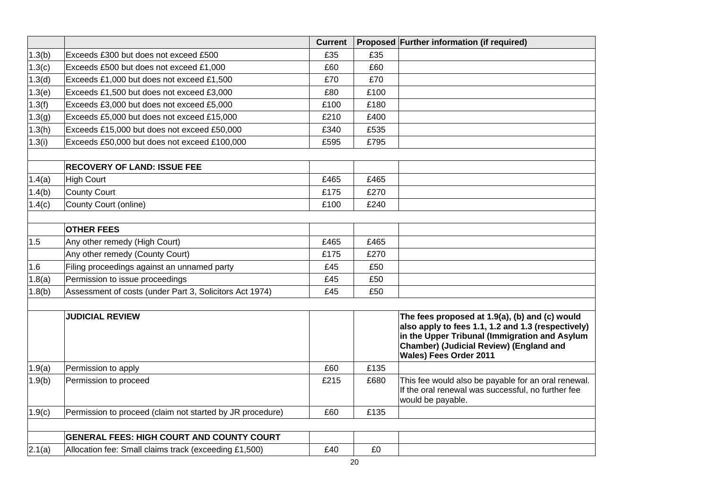|        |                                                           | <b>Current</b> |      | Proposed Further information (if required)                                                                                                                                                                                               |
|--------|-----------------------------------------------------------|----------------|------|------------------------------------------------------------------------------------------------------------------------------------------------------------------------------------------------------------------------------------------|
| 1.3(b) | Exceeds £300 but does not exceed £500                     | £35            | £35  |                                                                                                                                                                                                                                          |
| 1.3(c) | Exceeds £500 but does not exceed £1,000                   | £60            | £60  |                                                                                                                                                                                                                                          |
| 1.3(d) | Exceeds £1,000 but does not exceed £1,500                 | £70            | £70  |                                                                                                                                                                                                                                          |
| 1.3(e) | Exceeds £1,500 but does not exceed £3,000                 | £80            | £100 |                                                                                                                                                                                                                                          |
| 1.3(f) | Exceeds £3,000 but does not exceed £5,000                 | £100           | £180 |                                                                                                                                                                                                                                          |
| 1.3(g) | Exceeds £5,000 but does not exceed £15,000                | £210           | £400 |                                                                                                                                                                                                                                          |
| 1.3(h) | Exceeds £15,000 but does not exceed £50,000               | £340           | £535 |                                                                                                                                                                                                                                          |
| 1.3(i) | Exceeds £50,000 but does not exceed £100,000              | £595           | £795 |                                                                                                                                                                                                                                          |
|        | <b>RECOVERY OF LAND: ISSUE FEE</b>                        |                |      |                                                                                                                                                                                                                                          |
| 1.4(a) | <b>High Court</b>                                         | £465           | £465 |                                                                                                                                                                                                                                          |
| 1.4(b) | <b>County Court</b>                                       | £175           | £270 |                                                                                                                                                                                                                                          |
| 1.4(c) | County Court (online)                                     | £100           | £240 |                                                                                                                                                                                                                                          |
|        |                                                           |                |      |                                                                                                                                                                                                                                          |
|        | <b>OTHER FEES</b>                                         |                |      |                                                                                                                                                                                                                                          |
| 1.5    | Any other remedy (High Court)                             | £465           | £465 |                                                                                                                                                                                                                                          |
|        | Any other remedy (County Court)                           | £175           | £270 |                                                                                                                                                                                                                                          |
| 1.6    | Filing proceedings against an unnamed party               | £45            | £50  |                                                                                                                                                                                                                                          |
| 1.8(a) | Permission to issue proceedings                           | £45            | £50  |                                                                                                                                                                                                                                          |
| 1.8(b) | Assessment of costs (under Part 3, Solicitors Act 1974)   | £45            | £50  |                                                                                                                                                                                                                                          |
|        | <b>JUDICIAL REVIEW</b>                                    |                |      | The fees proposed at 1.9(a), (b) and (c) would<br>also apply to fees 1.1, 1.2 and 1.3 (respectively)<br>in the Upper Tribunal (Immigration and Asylum<br><b>Chamber) (Judicial Review) (England and</b><br><b>Wales) Fees Order 2011</b> |
| 1.9(a) | Permission to apply                                       | £60            | £135 |                                                                                                                                                                                                                                          |
| 1.9(b) | Permission to proceed                                     | £215           | £680 | This fee would also be payable for an oral renewal.<br>If the oral renewal was successful, no further fee<br>would be payable.                                                                                                           |
| 1.9(c) | Permission to proceed (claim not started by JR procedure) | £60            | £135 |                                                                                                                                                                                                                                          |
|        |                                                           |                |      |                                                                                                                                                                                                                                          |
|        | <b>GENERAL FEES: HIGH COURT AND COUNTY COURT</b>          |                |      |                                                                                                                                                                                                                                          |
| 2.1(a) | Allocation fee: Small claims track (exceeding £1,500)     | £40            | £0   |                                                                                                                                                                                                                                          |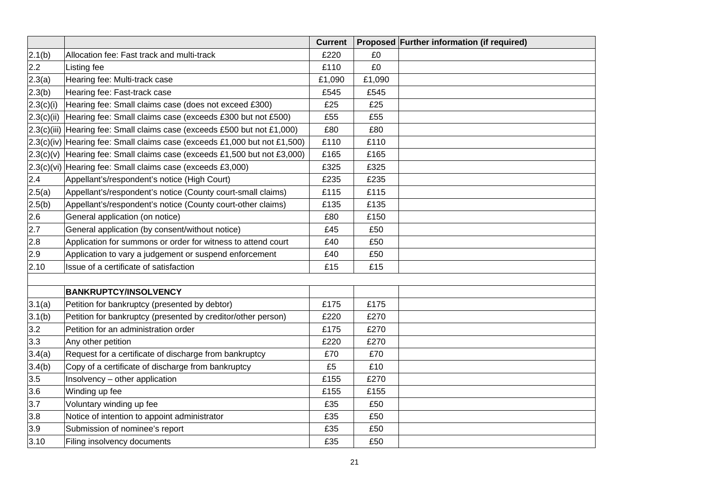|            |                                                                              | <b>Current</b> |        | Proposed Further information (if required) |
|------------|------------------------------------------------------------------------------|----------------|--------|--------------------------------------------|
| 2.1(b)     | Allocation fee: Fast track and multi-track                                   | £220           | £0     |                                            |
| 2.2        | <b>Listing fee</b>                                                           | £110           | £0     |                                            |
| 2.3(a)     | Hearing fee: Multi-track case                                                | £1,090         | £1,090 |                                            |
| 2.3(b)     | Hearing fee: Fast-track case                                                 | £545           | £545   |                                            |
| 2.3(c)(i)  | Hearing fee: Small claims case (does not exceed £300)                        | £25            | £25    |                                            |
| 2.3(c)(ii) | Hearing fee: Small claims case (exceeds £300 but not £500)                   | £55            | £55    |                                            |
|            | 2.3(c)(iii) Hearing fee: Small claims case (exceeds £500 but not £1,000)     | £80            | £80    |                                            |
|            | 2.3(c)(iv) Hearing fee: Small claims case (exceeds £1,000 but not £1,500)    | £110           | £110   |                                            |
|            | $ 2.3(c)(v) $ Hearing fee: Small claims case (exceeds £1,500 but not £3,000) | £165           | £165   |                                            |
|            | 2.3(c)(vi) Hearing fee: Small claims case (exceeds £3,000)                   | £325           | £325   |                                            |
| 2.4        | Appellant's/respondent's notice (High Court)                                 | £235           | £235   |                                            |
| 2.5(a)     | Appellant's/respondent's notice (County court-small claims)                  | £115           | £115   |                                            |
| 2.5(b)     | Appellant's/respondent's notice (County court-other claims)                  | £135           | £135   |                                            |
| 2.6        | General application (on notice)                                              | £80            | £150   |                                            |
| 2.7        | General application (by consent/without notice)                              | £45            | £50    |                                            |
| 2.8        | Application for summons or order for witness to attend court                 | £40            | £50    |                                            |
| 2.9        | Application to vary a judgement or suspend enforcement                       | £40            | £50    |                                            |
| 2.10       | Issue of a certificate of satisfaction                                       | £15            | £15    |                                            |
|            |                                                                              |                |        |                                            |
|            | <b>BANKRUPTCY/INSOLVENCY</b>                                                 |                |        |                                            |
| 3.1(a)     | Petition for bankruptcy (presented by debtor)                                | £175           | £175   |                                            |
| 3.1(b)     | Petition for bankruptcy (presented by creditor/other person)                 | £220           | £270   |                                            |
| 3.2        | Petition for an administration order                                         | £175           | £270   |                                            |
| 3.3        | Any other petition                                                           | £220           | £270   |                                            |
| 3.4(a)     | Request for a certificate of discharge from bankruptcy                       | £70            | £70    |                                            |
| 3.4(b)     | Copy of a certificate of discharge from bankruptcy                           | £5             | £10    |                                            |
| 3.5        | Insolvency - other application                                               | £155           | £270   |                                            |
| 3.6        | Winding up fee                                                               | £155           | £155   |                                            |
| 3.7        | Voluntary winding up fee                                                     | £35            | £50    |                                            |
| 3.8        | Notice of intention to appoint administrator                                 | £35            | £50    |                                            |
| 3.9        | Submission of nominee's report                                               | £35            | £50    |                                            |
| 3.10       | Filing insolvency documents                                                  | £35            | £50    |                                            |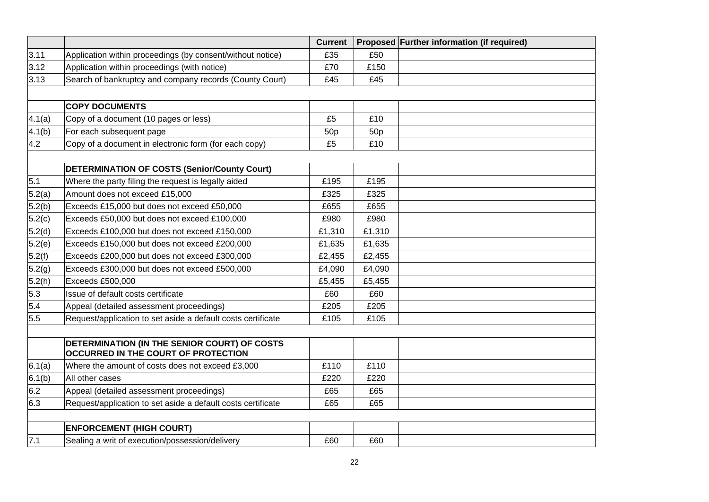|        |                                                                                     | <b>Current</b>  |                 | <b>Proposed Further information (if required)</b> |
|--------|-------------------------------------------------------------------------------------|-----------------|-----------------|---------------------------------------------------|
| 3.11   | Application within proceedings (by consent/without notice)                          | £35             | £50             |                                                   |
| 3.12   | Application within proceedings (with notice)                                        | £70             | £150            |                                                   |
| 3.13   | Search of bankruptcy and company records (County Court)                             | £45             | £45             |                                                   |
|        | <b>COPY DOCUMENTS</b>                                                               |                 |                 |                                                   |
| 4.1(a) | Copy of a document (10 pages or less)                                               | £5              | £10             |                                                   |
| 4.1(b) | For each subsequent page                                                            | 50 <sub>p</sub> | 50 <sub>p</sub> |                                                   |
| 4.2    | Copy of a document in electronic form (for each copy)                               | £5              | £10             |                                                   |
|        | DETERMINATION OF COSTS (Senior/County Court)                                        |                 |                 |                                                   |
| 5.1    | Where the party filing the request is legally aided                                 | £195            | £195            |                                                   |
| 5.2(a) | Amount does not exceed £15,000                                                      | £325            | £325            |                                                   |
| 5.2(b) | Exceeds £15,000 but does not exceed £50,000                                         | £655            | £655            |                                                   |
| 5.2(c) | Exceeds £50,000 but does not exceed £100,000                                        | £980            | £980            |                                                   |
| 5.2(d) | Exceeds £100,000 but does not exceed £150,000                                       | £1,310          | £1,310          |                                                   |
| 5.2(e) | Exceeds £150,000 but does not exceed £200,000                                       | £1,635          | £1,635          |                                                   |
| 5.2(f) | Exceeds £200,000 but does not exceed £300,000                                       | £2,455          | £2,455          |                                                   |
| 5.2(g) | Exceeds £300,000 but does not exceed £500,000                                       | £4,090          | £4,090          |                                                   |
| 5.2(h) | Exceeds £500,000                                                                    | £5,455          | £5,455          |                                                   |
| 5.3    | Issue of default costs certificate                                                  | £60             | £60             |                                                   |
| 5.4    | Appeal (detailed assessment proceedings)                                            | £205            | £205            |                                                   |
| 5.5    | Request/application to set aside a default costs certificate                        | £105            | £105            |                                                   |
|        | DETERMINATION (IN THE SENIOR COURT) OF COSTS<br>OCCURRED IN THE COURT OF PROTECTION |                 |                 |                                                   |
| 6.1(a) | Where the amount of costs does not exceed £3,000                                    | £110            | £110            |                                                   |
| 6.1(b) | All other cases                                                                     | £220            | £220            |                                                   |
| 6.2    | Appeal (detailed assessment proceedings)                                            | £65             | £65             |                                                   |
| 6.3    | Request/application to set aside a default costs certificate                        | £65             | £65             |                                                   |
|        | <b>ENFORCEMENT (HIGH COURT)</b>                                                     |                 |                 |                                                   |
| 7.1    | Sealing a writ of execution/possession/delivery                                     | £60             | £60             |                                                   |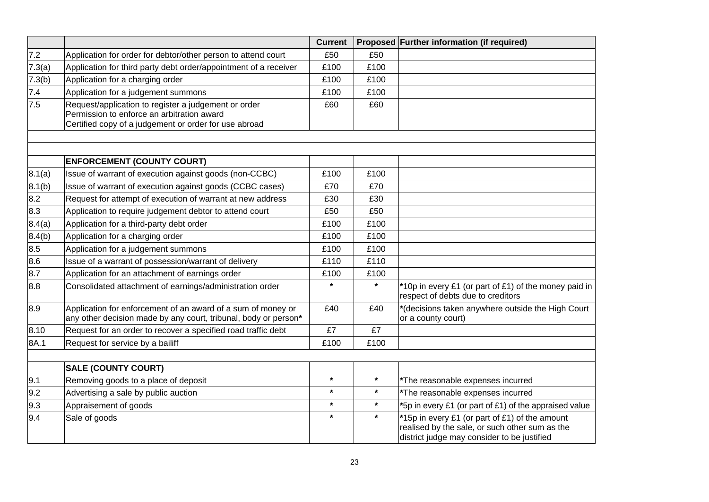|        |                                                                                                                                                             | <b>Current</b> |         | Proposed Further information (if required)                                                                                                      |
|--------|-------------------------------------------------------------------------------------------------------------------------------------------------------------|----------------|---------|-------------------------------------------------------------------------------------------------------------------------------------------------|
| 7.2    | Application for order for debtor/other person to attend court                                                                                               | £50            | £50     |                                                                                                                                                 |
| 7.3(a) | Application for third party debt order/appointment of a receiver                                                                                            | £100           | £100    |                                                                                                                                                 |
| 7.3(b) | Application for a charging order                                                                                                                            | £100           | £100    |                                                                                                                                                 |
| 7.4    | Application for a judgement summons                                                                                                                         | £100           | £100    |                                                                                                                                                 |
| 7.5    | Request/application to register a judgement or order<br>Permission to enforce an arbitration award<br>Certified copy of a judgement or order for use abroad | £60            | £60     |                                                                                                                                                 |
|        |                                                                                                                                                             |                |         |                                                                                                                                                 |
|        | <b>ENFORCEMENT (COUNTY COURT)</b>                                                                                                                           |                |         |                                                                                                                                                 |
| 8.1(a) | Issue of warrant of execution against goods (non-CCBC)                                                                                                      | £100           | £100    |                                                                                                                                                 |
| 8.1(b) | Issue of warrant of execution against goods (CCBC cases)                                                                                                    | £70            | £70     |                                                                                                                                                 |
| 8.2    | Request for attempt of execution of warrant at new address                                                                                                  | £30            | £30     |                                                                                                                                                 |
| 8.3    | Application to require judgement debtor to attend court                                                                                                     | £50            | £50     |                                                                                                                                                 |
| 8.4(a) | Application for a third-party debt order                                                                                                                    | £100           | £100    |                                                                                                                                                 |
| 8.4(b) | Application for a charging order                                                                                                                            | £100           | £100    |                                                                                                                                                 |
| 8.5    | Application for a judgement summons                                                                                                                         | £100           | £100    |                                                                                                                                                 |
| 8.6    | Issue of a warrant of possession/warrant of delivery                                                                                                        | £110           | £110    |                                                                                                                                                 |
| 8.7    | Application for an attachment of earnings order                                                                                                             | £100           | £100    |                                                                                                                                                 |
| 8.8    | Consolidated attachment of earnings/administration order                                                                                                    | $\star$        | $\star$ | *10p in every £1 (or part of £1) of the money paid in<br>respect of debts due to creditors                                                      |
| 8.9    | Application for enforcement of an award of a sum of money or<br>any other decision made by any court, tribunal, body or person*                             | £40            | £40     | *(decisions taken anywhere outside the High Court<br>or a county court)                                                                         |
| 8.10   | Request for an order to recover a specified road traffic debt                                                                                               | £7             | £7      |                                                                                                                                                 |
| 8A.1   | Request for service by a bailiff                                                                                                                            | £100           | £100    |                                                                                                                                                 |
|        | <b>SALE (COUNTY COURT)</b>                                                                                                                                  |                |         |                                                                                                                                                 |
| 9.1    | Removing goods to a place of deposit                                                                                                                        | $\star$        | $\star$ | The reasonable expenses incurred                                                                                                                |
| 9.2    | Advertising a sale by public auction                                                                                                                        | $\star$        | $\star$ | *The reasonable expenses incurred                                                                                                               |
| 9.3    | Appraisement of goods                                                                                                                                       | $\star$        | $\star$ | *5p in every £1 (or part of £1) of the appraised value                                                                                          |
| 9.4    | Sale of goods                                                                                                                                               | $\star$        | $\star$ | *15p in every £1 (or part of £1) of the amount<br>realised by the sale, or such other sum as the<br>district judge may consider to be justified |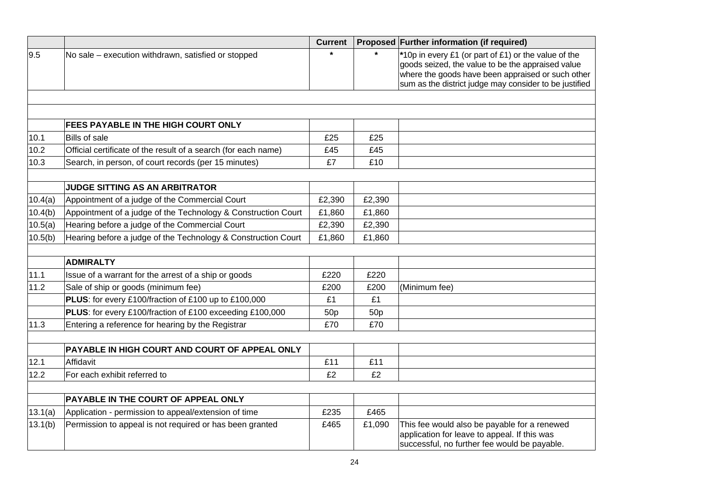|         |                                                                | <b>Current</b>  |                 | Proposed Further information (if required)                                                                                                                                                                               |
|---------|----------------------------------------------------------------|-----------------|-----------------|--------------------------------------------------------------------------------------------------------------------------------------------------------------------------------------------------------------------------|
| 9.5     | No sale - execution withdrawn, satisfied or stopped            |                 |                 | *10p in every £1 (or part of £1) or the value of the<br>goods seized, the value to be the appraised value<br>where the goods have been appraised or such other<br>sum as the district judge may consider to be justified |
|         |                                                                |                 |                 |                                                                                                                                                                                                                          |
|         |                                                                |                 |                 |                                                                                                                                                                                                                          |
|         | FEES PAYABLE IN THE HIGH COURT ONLY                            |                 |                 |                                                                                                                                                                                                                          |
| 10.1    | <b>Bills of sale</b>                                           | £25             | £25             |                                                                                                                                                                                                                          |
| 10.2    | Official certificate of the result of a search (for each name) | £45             | £45             |                                                                                                                                                                                                                          |
| 10.3    | Search, in person, of court records (per 15 minutes)           | £7              | £10             |                                                                                                                                                                                                                          |
|         |                                                                |                 |                 |                                                                                                                                                                                                                          |
|         | <b>JUDGE SITTING AS AN ARBITRATOR</b>                          |                 |                 |                                                                                                                                                                                                                          |
| 10.4(a) | Appointment of a judge of the Commercial Court                 | £2,390          | £2,390          |                                                                                                                                                                                                                          |
| 10.4(b) | Appointment of a judge of the Technology & Construction Court  | £1,860          | £1,860          |                                                                                                                                                                                                                          |
| 10.5(a) | Hearing before a judge of the Commercial Court                 | £2,390          | £2,390          |                                                                                                                                                                                                                          |
| 10.5(b) | Hearing before a judge of the Technology & Construction Court  | £1,860          | £1,860          |                                                                                                                                                                                                                          |
|         |                                                                |                 |                 |                                                                                                                                                                                                                          |
|         | <b>ADMIRALTY</b>                                               |                 |                 |                                                                                                                                                                                                                          |
| 11.1    | Issue of a warrant for the arrest of a ship or goods           | £220            | £220            |                                                                                                                                                                                                                          |
| 11.2    | Sale of ship or goods (minimum fee)                            | £200            | £200            | (Minimum fee)                                                                                                                                                                                                            |
|         | PLUS: for every £100/fraction of £100 up to £100,000           | £1              | £1              |                                                                                                                                                                                                                          |
|         | PLUS: for every £100/fraction of £100 exceeding £100,000       | 50 <sub>p</sub> | 50 <sub>p</sub> |                                                                                                                                                                                                                          |
| 11.3    | Entering a reference for hearing by the Registrar              | £70             | £70             |                                                                                                                                                                                                                          |
|         |                                                                |                 |                 |                                                                                                                                                                                                                          |
|         | PAYABLE IN HIGH COURT AND COURT OF APPEAL ONLY                 |                 |                 |                                                                                                                                                                                                                          |
| 12.1    | Affidavit                                                      | £11             | £11             |                                                                                                                                                                                                                          |
| 12.2    | For each exhibit referred to                                   | £2              | £2              |                                                                                                                                                                                                                          |
|         |                                                                |                 |                 |                                                                                                                                                                                                                          |
|         | PAYABLE IN THE COURT OF APPEAL ONLY                            |                 |                 |                                                                                                                                                                                                                          |
| 13.1(a) | Application - permission to appeal/extension of time           | £235            | £465            |                                                                                                                                                                                                                          |
| 13.1(b) | Permission to appeal is not required or has been granted       | £465            | £1,090          | This fee would also be payable for a renewed<br>application for leave to appeal. If this was<br>successful, no further fee would be payable.                                                                             |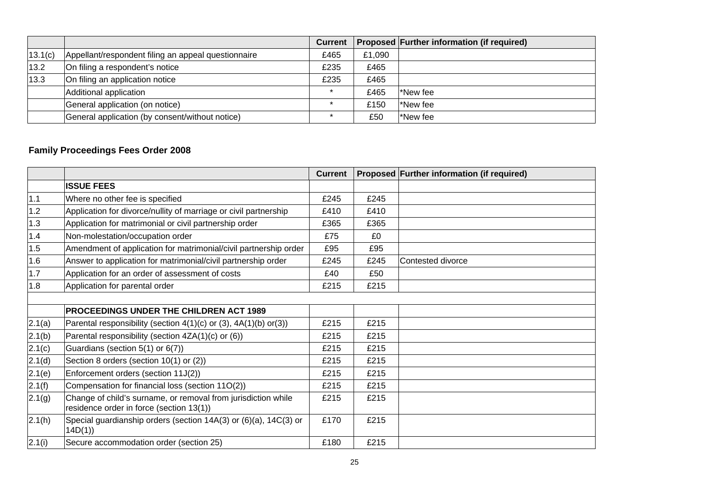|         |                                                     | <b>Current</b> |        | <b>Proposed Further information (if required)</b> |
|---------|-----------------------------------------------------|----------------|--------|---------------------------------------------------|
| 13.1(c) | Appellant/respondent filing an appeal questionnaire | £465           | £1,090 |                                                   |
| 13.2    | On filing a respondent's notice                     | £235           | £465   |                                                   |
| 13.3    | On filing an application notice                     | £235           | £465   |                                                   |
|         | Additional application                              |                | £465   | New fee                                           |
|         | General application (on notice)                     |                | £150   | New fee                                           |
|         | General application (by consent/without notice)     |                | £50    | New fee                                           |

# **Family Proceedings Fees Order 2008**

|        |                                                                                                           | <b>Current</b> |      | Proposed Further information (if required) |
|--------|-----------------------------------------------------------------------------------------------------------|----------------|------|--------------------------------------------|
|        | <b>ISSUE FEES</b>                                                                                         |                |      |                                            |
| $1.1$  | Where no other fee is specified                                                                           | £245           | £245 |                                            |
| 1.2    | Application for divorce/nullity of marriage or civil partnership                                          | £410           | £410 |                                            |
| 1.3    | Application for matrimonial or civil partnership order                                                    | £365           | £365 |                                            |
| 1.4    | Non-molestation/occupation order                                                                          | £75            | £0   |                                            |
| 1.5    | Amendment of application for matrimonial/civil partnership order                                          | £95            | £95  |                                            |
| 1.6    | Answer to application for matrimonial/civil partnership order                                             | £245           | £245 | Contested divorce                          |
| 1.7    | Application for an order of assessment of costs                                                           | £40            | £50  |                                            |
| 1.8    | Application for parental order                                                                            | £215           | £215 |                                            |
|        |                                                                                                           |                |      |                                            |
|        | <b>PROCEEDINGS UNDER THE CHILDREN ACT 1989</b>                                                            |                |      |                                            |
| 2.1(a) | Parental responsibility (section $4(1)(c)$ or (3), $4A(1)(b)$ or(3))                                      | £215           | £215 |                                            |
| 2.1(b) | Parental responsibility (section 4ZA(1)(c) or (6))                                                        | £215           | £215 |                                            |
| 2.1(c) | Guardians (section 5(1) or 6(7))                                                                          | £215           | £215 |                                            |
| 2.1(d) | Section 8 orders (section 10(1) or (2))                                                                   | £215           | £215 |                                            |
| 2.1(e) | Enforcement orders (section 11J(2))                                                                       | £215           | £215 |                                            |
| 2.1(f) | Compensation for financial loss (section 11O(2))                                                          | £215           | £215 |                                            |
| 2.1(g) | Change of child's surname, or removal from jurisdiction while<br>residence order in force (section 13(1)) | £215           | £215 |                                            |
| 2.1(h) | Special guardianship orders (section 14A(3) or (6)(a), 14C(3) or<br>14D(1)                                | £170           | £215 |                                            |
| 2.1(i) | Secure accommodation order (section 25)                                                                   | £180           | £215 |                                            |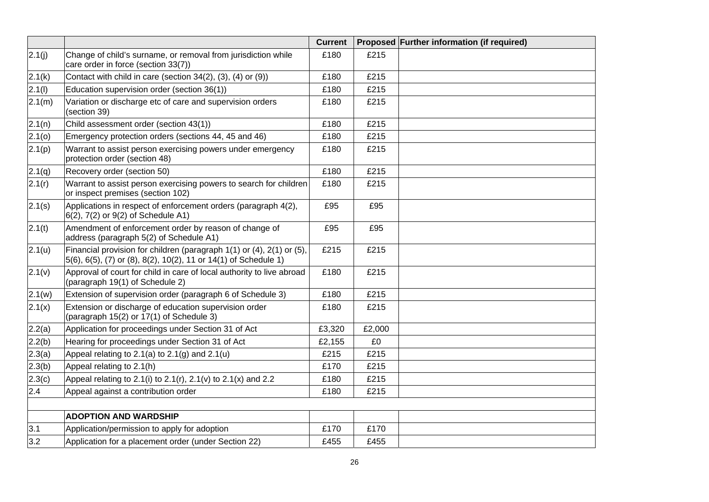|        |                                                                                                                                          | <b>Current</b> |        | Proposed Further information (if required) |
|--------|------------------------------------------------------------------------------------------------------------------------------------------|----------------|--------|--------------------------------------------|
| 2.1(j) | Change of child's surname, or removal from jurisdiction while<br>care order in force (section 33(7))                                     | £180           | £215   |                                            |
| 2.1(k) | Contact with child in care (section 34(2), (3), (4) or (9))                                                                              | £180           | £215   |                                            |
| 2.1(l) | Education supervision order (section 36(1))                                                                                              | £180           | £215   |                                            |
| 2.1(m) | Variation or discharge etc of care and supervision orders<br>(section 39)                                                                | £180           | £215   |                                            |
| 2.1(n) | Child assessment order (section 43(1))                                                                                                   | £180           | £215   |                                            |
| 2.1(0) | Emergency protection orders (sections 44, 45 and 46)                                                                                     | £180           | £215   |                                            |
| 2.1(p) | Warrant to assist person exercising powers under emergency<br>protection order (section 48)                                              | £180           | £215   |                                            |
| 2.1(q) | Recovery order (section 50)                                                                                                              | £180           | £215   |                                            |
| 2.1(r) | Warrant to assist person exercising powers to search for children<br>or inspect premises (section 102)                                   | £180           | £215   |                                            |
| 2.1(s) | Applications in respect of enforcement orders (paragraph 4(2),<br>6(2), 7(2) or 9(2) of Schedule A1)                                     | £95            | £95    |                                            |
| 2.1(t) | Amendment of enforcement order by reason of change of<br>address (paragraph 5(2) of Schedule A1)                                         | £95            | £95    |                                            |
| 2.1(u) | Financial provision for children (paragraph 1(1) or (4), 2(1) or (5),<br>5(6), 6(5), (7) or (8), 8(2), 10(2), 11 or 14(1) of Schedule 1) | £215           | £215   |                                            |
| 2.1(v) | Approval of court for child in care of local authority to live abroad<br>(paragraph 19(1) of Schedule 2)                                 | £180           | £215   |                                            |
| 2.1(w) | Extension of supervision order (paragraph 6 of Schedule 3)                                                                               | £180           | £215   |                                            |
| 2.1(x) | Extension or discharge of education supervision order<br>(paragraph 15(2) or 17(1) of Schedule 3)                                        | £180           | £215   |                                            |
| 2.2(a) | Application for proceedings under Section 31 of Act                                                                                      | £3,320         | £2,000 |                                            |
| 2.2(b) | Hearing for proceedings under Section 31 of Act                                                                                          | £2,155         | £0     |                                            |
| 2.3(a) | Appeal relating to $2.1(a)$ to $2.1(g)$ and $2.1(u)$                                                                                     | £215           | £215   |                                            |
| 2.3(b) | Appeal relating to 2.1(h)                                                                                                                | £170           | £215   |                                            |
| 2.3(c) | Appeal relating to 2.1(i) to 2.1(r), 2.1(v) to 2.1(x) and 2.2                                                                            | £180           | £215   |                                            |
| 2.4    | Appeal against a contribution order                                                                                                      | £180           | £215   |                                            |
|        |                                                                                                                                          |                |        |                                            |
|        | <b>ADOPTION AND WARDSHIP</b>                                                                                                             |                |        |                                            |
| 3.1    | Application/permission to apply for adoption                                                                                             | £170           | £170   |                                            |
| 3.2    | Application for a placement order (under Section 22)                                                                                     | £455           | £455   |                                            |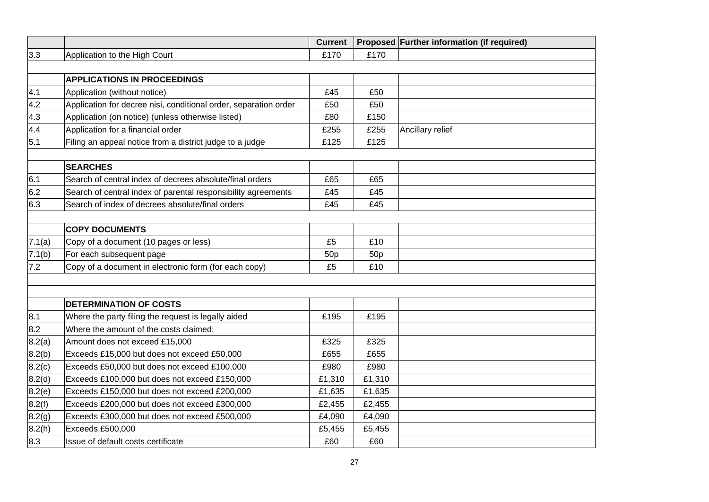|        |                                                                  | <b>Current</b>  |                 | Proposed Further information (if required) |
|--------|------------------------------------------------------------------|-----------------|-----------------|--------------------------------------------|
| 3.3    | Application to the High Court                                    | £170            | £170            |                                            |
|        |                                                                  |                 |                 |                                            |
|        | <b>APPLICATIONS IN PROCEEDINGS</b>                               |                 |                 |                                            |
| 4.1    | Application (without notice)                                     | £45             | £50             |                                            |
| 4.2    | Application for decree nisi, conditional order, separation order | £50             | £50             |                                            |
| 4.3    | Application (on notice) (unless otherwise listed)                | £80             | £150            |                                            |
| 4.4    | Application for a financial order                                | £255            | £255            | Ancillary relief                           |
| 5.1    | Filing an appeal notice from a district judge to a judge         | £125            | £125            |                                            |
|        |                                                                  |                 |                 |                                            |
|        | <b>SEARCHES</b>                                                  |                 |                 |                                            |
| 6.1    | Search of central index of decrees absolute/final orders         | £65             | £65             |                                            |
| 6.2    | Search of central index of parental responsibility agreements    | £45             | £45             |                                            |
| 6.3    | Search of index of decrees absolute/final orders                 | £45             | £45             |                                            |
|        |                                                                  |                 |                 |                                            |
|        | <b>COPY DOCUMENTS</b>                                            |                 |                 |                                            |
| 7.1(a) | Copy of a document (10 pages or less)                            | £5              | £10             |                                            |
| 7.1(b) | For each subsequent page                                         | 50 <sub>p</sub> | 50 <sub>p</sub> |                                            |
| 7.2    | Copy of a document in electronic form (for each copy)            | £5              | £10             |                                            |
|        |                                                                  |                 |                 |                                            |
|        |                                                                  |                 |                 |                                            |
|        | <b>DETERMINATION OF COSTS</b>                                    |                 |                 |                                            |
| 8.1    | Where the party filing the request is legally aided              | £195            | £195            |                                            |
| 8.2    | Where the amount of the costs claimed:                           |                 |                 |                                            |
| 8.2(a) | Amount does not exceed £15,000                                   | £325            | £325            |                                            |
| 8.2(b) | Exceeds £15,000 but does not exceed £50,000                      | £655            | £655            |                                            |
| 8.2(c) | Exceeds £50,000 but does not exceed £100,000                     | £980            | £980            |                                            |
| 8.2(d) | Exceeds £100,000 but does not exceed £150,000                    | £1,310          | £1,310          |                                            |
| 8.2(e) | Exceeds £150,000 but does not exceed £200,000                    | £1,635          | £1,635          |                                            |
| 8.2(f) | Exceeds £200,000 but does not exceed £300,000                    | £2,455          | £2,455          |                                            |
| 8.2(g) | Exceeds £300,000 but does not exceed £500,000                    | £4,090          | £4,090          |                                            |
| 8.2(h) | Exceeds £500,000                                                 | £5,455          | £5,455          |                                            |
| 8.3    | Issue of default costs certificate                               | £60             | £60             |                                            |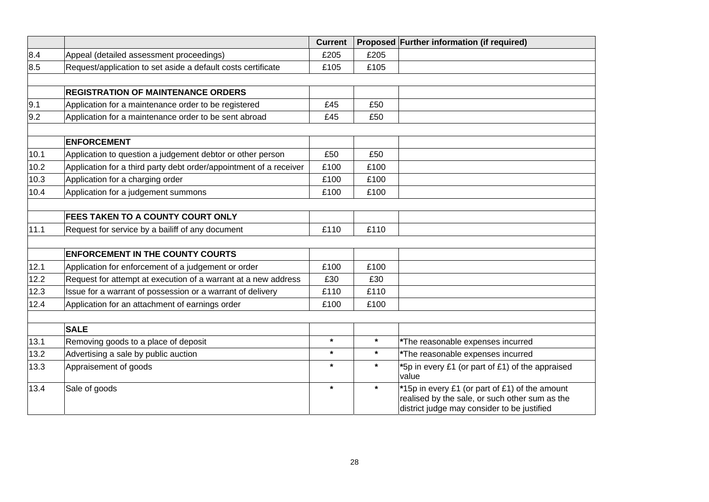|      |                                                                    | <b>Current</b> |         | Proposed Further information (if required)                                                                                                      |
|------|--------------------------------------------------------------------|----------------|---------|-------------------------------------------------------------------------------------------------------------------------------------------------|
| 8.4  | Appeal (detailed assessment proceedings)                           | £205           | £205    |                                                                                                                                                 |
| 8.5  | Request/application to set aside a default costs certificate       | £105           | £105    |                                                                                                                                                 |
|      |                                                                    |                |         |                                                                                                                                                 |
|      | <b>REGISTRATION OF MAINTENANCE ORDERS</b>                          |                |         |                                                                                                                                                 |
| 9.1  | Application for a maintenance order to be registered               | £45            | £50     |                                                                                                                                                 |
| 9.2  | Application for a maintenance order to be sent abroad              | £45            | £50     |                                                                                                                                                 |
|      | <b>ENFORCEMENT</b>                                                 |                |         |                                                                                                                                                 |
| 10.1 | Application to question a judgement debtor or other person         | £50            | £50     |                                                                                                                                                 |
| 10.2 | Application for a third party debt order/appointment of a receiver | £100           | £100    |                                                                                                                                                 |
| 10.3 | Application for a charging order                                   | £100           | £100    |                                                                                                                                                 |
| 10.4 | Application for a judgement summons                                | £100           | £100    |                                                                                                                                                 |
|      |                                                                    |                |         |                                                                                                                                                 |
|      | FEES TAKEN TO A COUNTY COURT ONLY                                  |                |         |                                                                                                                                                 |
| 11.1 | Request for service by a bailiff of any document                   | £110           | £110    |                                                                                                                                                 |
|      |                                                                    |                |         |                                                                                                                                                 |
|      | <b>ENFORCEMENT IN THE COUNTY COURTS</b>                            |                |         |                                                                                                                                                 |
| 12.1 | Application for enforcement of a judgement or order                | £100           | £100    |                                                                                                                                                 |
| 12.2 | Request for attempt at execution of a warrant at a new address     | £30            | £30     |                                                                                                                                                 |
| 12.3 | Issue for a warrant of possession or a warrant of delivery         | £110           | £110    |                                                                                                                                                 |
| 12.4 | Application for an attachment of earnings order                    | £100           | £100    |                                                                                                                                                 |
|      |                                                                    |                |         |                                                                                                                                                 |
|      | <b>SALE</b>                                                        |                |         |                                                                                                                                                 |
| 13.1 | Removing goods to a place of deposit                               | $\star$        | $\star$ | *The reasonable expenses incurred                                                                                                               |
| 13.2 | Advertising a sale by public auction                               | $\star$        | $\star$ | *The reasonable expenses incurred                                                                                                               |
| 13.3 | Appraisement of goods                                              | $\star$        | $\star$ | *5p in every £1 (or part of £1) of the appraised<br>value                                                                                       |
| 13.4 | Sale of goods                                                      | $\star$        | $\star$ | *15p in every £1 (or part of £1) of the amount<br>realised by the sale, or such other sum as the<br>district judge may consider to be justified |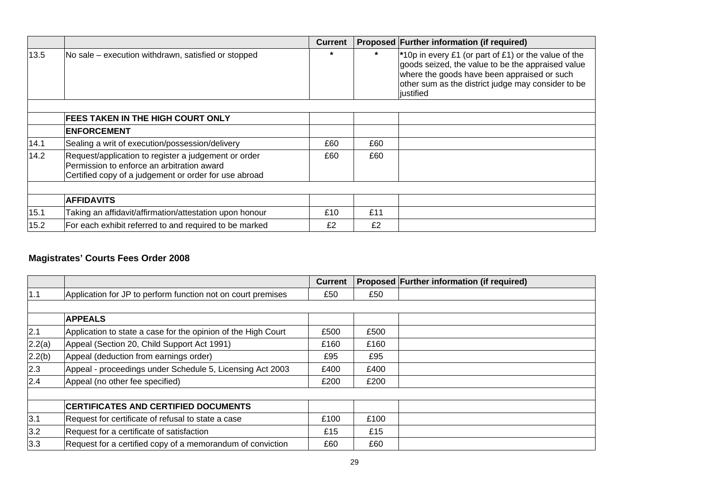|      |                                                                                                                                                             | <b>Current</b> |         | Proposed Further information (if required)                                                                                                                                                                                              |
|------|-------------------------------------------------------------------------------------------------------------------------------------------------------------|----------------|---------|-----------------------------------------------------------------------------------------------------------------------------------------------------------------------------------------------------------------------------------------|
| 13.5 | No sale – execution withdrawn, satisfied or stopped                                                                                                         | $\star$        | $\star$ | <sup>*</sup> 10p in every £1 (or part of £1) or the value of the<br>goods seized, the value to be the appraised value<br>where the goods have been appraised or such<br>other sum as the district judge may consider to be<br>justified |
|      |                                                                                                                                                             |                |         |                                                                                                                                                                                                                                         |
|      | <b>FEES TAKEN IN THE HIGH COURT ONLY</b>                                                                                                                    |                |         |                                                                                                                                                                                                                                         |
|      | <b>ENFORCEMENT</b>                                                                                                                                          |                |         |                                                                                                                                                                                                                                         |
| 14.1 | Sealing a writ of execution/possession/delivery                                                                                                             | £60            | £60     |                                                                                                                                                                                                                                         |
| 14.2 | Request/application to register a judgement or order<br>Permission to enforce an arbitration award<br>Certified copy of a judgement or order for use abroad | £60            | £60     |                                                                                                                                                                                                                                         |
|      |                                                                                                                                                             |                |         |                                                                                                                                                                                                                                         |
|      | <b>AFFIDAVITS</b>                                                                                                                                           |                |         |                                                                                                                                                                                                                                         |
| 15.1 | Taking an affidavit/affirmation/attestation upon honour                                                                                                     | £10            | £11     |                                                                                                                                                                                                                                         |
| 15.2 | For each exhibit referred to and required to be marked                                                                                                      | £2             | £2      |                                                                                                                                                                                                                                         |

# **Magistrates' Courts Fees Order 2008**

|        |                                                               | <b>Current</b> |      | Proposed Further information (if required) |
|--------|---------------------------------------------------------------|----------------|------|--------------------------------------------|
| 1.1    | Application for JP to perform function not on court premises  | £50            | £50  |                                            |
|        |                                                               |                |      |                                            |
|        | <b>APPEALS</b>                                                |                |      |                                            |
| 2.1    | Application to state a case for the opinion of the High Court | £500           | £500 |                                            |
| 2.2(a) | Appeal (Section 20, Child Support Act 1991)                   | £160           | £160 |                                            |
| 2.2(b) | Appeal (deduction from earnings order)                        | £95            | £95  |                                            |
| 2.3    | Appeal - proceedings under Schedule 5, Licensing Act 2003     | £400           | £400 |                                            |
| 2.4    | Appeal (no other fee specified)                               | £200           | £200 |                                            |
|        |                                                               |                |      |                                            |
|        | <b>CERTIFICATES AND CERTIFIED DOCUMENTS</b>                   |                |      |                                            |
| 3.1    | Request for certificate of refusal to state a case            | £100           | £100 |                                            |
| 3.2    | Request for a certificate of satisfaction                     | £15            | £15  |                                            |
| 3.3    | Request for a certified copy of a memorandum of conviction    | £60            | £60  |                                            |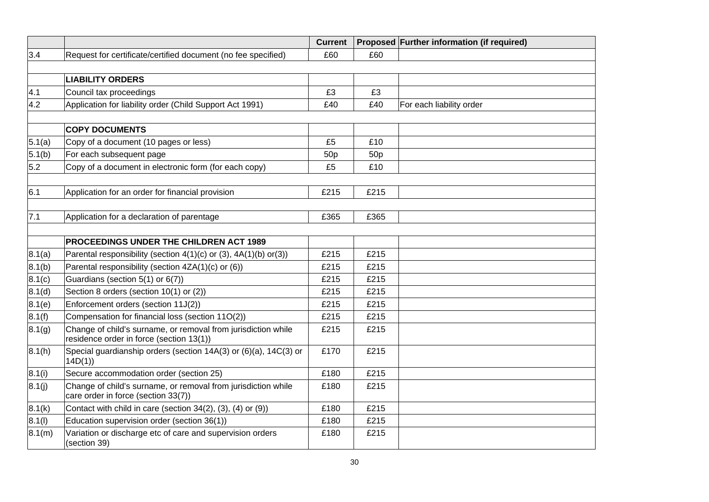|                  |                                                                                                           | <b>Current</b>  |                 | Proposed Further information (if required) |
|------------------|-----------------------------------------------------------------------------------------------------------|-----------------|-----------------|--------------------------------------------|
| 3.4              | Request for certificate/certified document (no fee specified)                                             | £60             | £60             |                                            |
|                  |                                                                                                           |                 |                 |                                            |
|                  | <b>LIABILITY ORDERS</b>                                                                                   |                 |                 |                                            |
| 4.1              | Council tax proceedings                                                                                   | £3              | £3              |                                            |
| 4.2              | Application for liability order (Child Support Act 1991)                                                  | £40             | £40             | For each liability order                   |
|                  |                                                                                                           |                 |                 |                                            |
|                  | <b>COPY DOCUMENTS</b>                                                                                     |                 |                 |                                            |
| 5.1(a)           | Copy of a document (10 pages or less)                                                                     | £5              | £10             |                                            |
| 5.1(b)           | For each subsequent page                                                                                  | 50 <sub>p</sub> | 50 <sub>p</sub> |                                            |
| 5.2              | Copy of a document in electronic form (for each copy)                                                     | £5              | £10             |                                            |
|                  |                                                                                                           |                 |                 |                                            |
| 6.1              | Application for an order for financial provision                                                          | £215            | £215            |                                            |
|                  |                                                                                                           |                 |                 |                                            |
| 7.1              | Application for a declaration of parentage                                                                | £365            | £365            |                                            |
|                  |                                                                                                           |                 |                 |                                            |
|                  | <b>PROCEEDINGS UNDER THE CHILDREN ACT 1989</b>                                                            |                 |                 |                                            |
| 8.1(a)           | Parental responsibility (section 4(1)(c) or (3), 4A(1)(b) or(3))                                          | £215            | £215            |                                            |
| 8.1(b)           | Parental responsibility (section 4ZA(1)(c) or (6))                                                        | £215            | £215            |                                            |
| 8.1(c)           | Guardians (section 5(1) or 6(7))                                                                          | £215            | £215            |                                            |
| 8.1 <sub>d</sub> | Section 8 orders (section 10(1) or (2))                                                                   | £215            | £215            |                                            |
| 8.1(e)           | Enforcement orders (section 11J(2))                                                                       | £215            | £215            |                                            |
| 8.1(f)           | Compensation for financial loss (section 11O(2))                                                          | £215            | £215            |                                            |
| 8.1(g)           | Change of child's surname, or removal from jurisdiction while<br>residence order in force (section 13(1)) | £215            | £215            |                                            |
| 8.1(h)           | Special guardianship orders (section 14A(3) or (6)(a), 14C(3) or<br>14D(1)                                | £170            | £215            |                                            |
| 8.1(i)           | Secure accommodation order (section 25)                                                                   | £180            | £215            |                                            |
| 8.1(j)           | Change of child's surname, or removal from jurisdiction while<br>care order in force (section 33(7))      | £180            | £215            |                                            |
| 8.1(k)           | Contact with child in care (section 34(2), (3), (4) or (9))                                               | £180            | £215            |                                            |
| 8.1(l)           | Education supervision order (section 36(1))                                                               | £180            | £215            |                                            |
| 8.1(m)           | Variation or discharge etc of care and supervision orders<br>(section 39)                                 | £180            | £215            |                                            |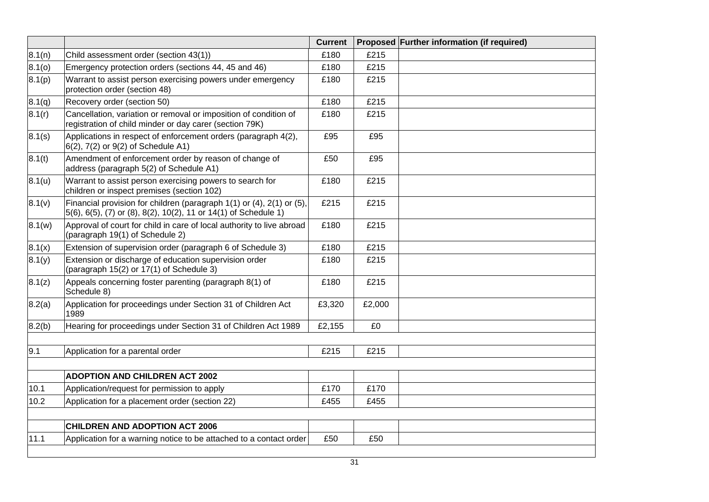|        |                                                                                                                                          | <b>Current</b> |        | Proposed Further information (if required) |
|--------|------------------------------------------------------------------------------------------------------------------------------------------|----------------|--------|--------------------------------------------|
| 8.1(n) | Child assessment order (section 43(1))                                                                                                   | £180           | £215   |                                            |
| 8.1(0) | Emergency protection orders (sections 44, 45 and 46)                                                                                     | £180           | £215   |                                            |
| 8.1(p) | Warrant to assist person exercising powers under emergency<br>protection order (section 48)                                              | £180           | £215   |                                            |
| 8.1(q) | Recovery order (section 50)                                                                                                              | £180           | £215   |                                            |
| 8.1(r) | Cancellation, variation or removal or imposition of condition of<br>registration of child minder or day carer (section 79K)              | £180           | £215   |                                            |
| 8.1(s) | Applications in respect of enforcement orders (paragraph 4(2),<br>$(6(2), 7(2)$ or $9(2)$ of Schedule A1)                                | £95            | £95    |                                            |
| 8.1(t) | Amendment of enforcement order by reason of change of<br>address (paragraph 5(2) of Schedule A1)                                         | £50            | £95    |                                            |
| 8.1(u) | Warrant to assist person exercising powers to search for<br>children or inspect premises (section 102)                                   | £180           | £215   |                                            |
| 8.1(v) | Financial provision for children (paragraph 1(1) or (4), 2(1) or (5),<br>5(6), 6(5), (7) or (8), 8(2), 10(2), 11 or 14(1) of Schedule 1) | £215           | £215   |                                            |
| 8.1(w) | Approval of court for child in care of local authority to live abroad<br>(paragraph 19(1) of Schedule 2)                                 | £180           | £215   |                                            |
| 8.1(x) | Extension of supervision order (paragraph 6 of Schedule 3)                                                                               | £180           | £215   |                                            |
| 8.1(y) | Extension or discharge of education supervision order<br>(paragraph 15(2) or 17(1) of Schedule 3)                                        | £180           | £215   |                                            |
| 8.1(z) | Appeals concerning foster parenting (paragraph 8(1) of<br>Schedule 8)                                                                    | £180           | £215   |                                            |
| 8.2(a) | Application for proceedings under Section 31 of Children Act<br>1989                                                                     | £3,320         | £2,000 |                                            |
| 8.2(b) | Hearing for proceedings under Section 31 of Children Act 1989                                                                            | £2,155         | £0     |                                            |
| 9.1    | Application for a parental order                                                                                                         | £215           | £215   |                                            |
|        | <b>ADOPTION AND CHILDREN ACT 2002</b>                                                                                                    |                |        |                                            |
| 10.1   | Application/request for permission to apply                                                                                              | £170           | £170   |                                            |
| 10.2   | Application for a placement order (section 22)                                                                                           | £455           | £455   |                                            |
|        |                                                                                                                                          |                |        |                                            |
|        | <b>CHILDREN AND ADOPTION ACT 2006</b>                                                                                                    |                |        |                                            |
| 11.1   | Application for a warning notice to be attached to a contact order                                                                       | £50            | £50    |                                            |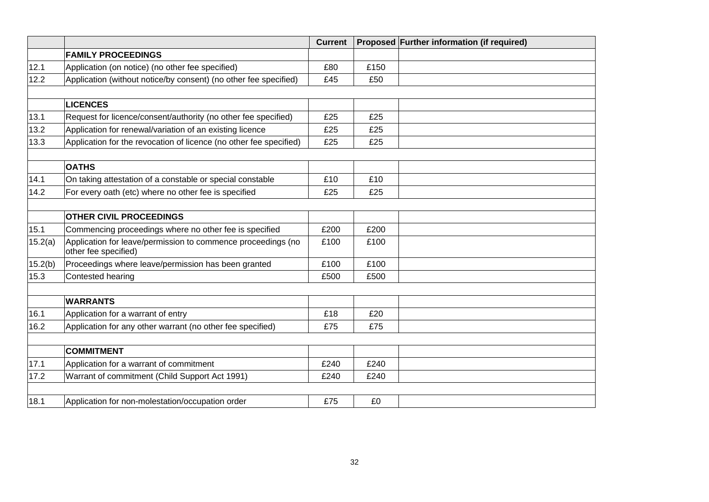|         |                                                                                      | <b>Current</b> |      | Proposed Further information (if required) |
|---------|--------------------------------------------------------------------------------------|----------------|------|--------------------------------------------|
|         | <b>FAMILY PROCEEDINGS</b>                                                            |                |      |                                            |
| 12.1    | Application (on notice) (no other fee specified)                                     | £80            | £150 |                                            |
| 12.2    | Application (without notice/by consent) (no other fee specified)                     | £45            | £50  |                                            |
|         |                                                                                      |                |      |                                            |
|         | <b>LICENCES</b>                                                                      |                |      |                                            |
| 13.1    | Request for licence/consent/authority (no other fee specified)                       | £25            | £25  |                                            |
| 13.2    | Application for renewal/variation of an existing licence                             | £25            | £25  |                                            |
| 13.3    | Application for the revocation of licence (no other fee specified)                   | £25            | £25  |                                            |
|         |                                                                                      |                |      |                                            |
|         | <b>OATHS</b>                                                                         |                |      |                                            |
| 14.1    | On taking attestation of a constable or special constable                            | £10            | £10  |                                            |
| 14.2    | For every oath (etc) where no other fee is specified                                 | £25            | £25  |                                            |
|         |                                                                                      |                |      |                                            |
|         | <b>OTHER CIVIL PROCEEDINGS</b>                                                       |                |      |                                            |
| 15.1    | Commencing proceedings where no other fee is specified                               | £200           | £200 |                                            |
| 15.2(a) | Application for leave/permission to commence proceedings (no<br>other fee specified) | £100           | £100 |                                            |
| 15.2(b) | Proceedings where leave/permission has been granted                                  | £100           | £100 |                                            |
| 15.3    | Contested hearing                                                                    | £500           | £500 |                                            |
|         |                                                                                      |                |      |                                            |
|         | <b>WARRANTS</b>                                                                      |                |      |                                            |
| 16.1    | Application for a warrant of entry                                                   | £18            | £20  |                                            |
| 16.2    | Application for any other warrant (no other fee specified)                           | £75            | £75  |                                            |
|         |                                                                                      |                |      |                                            |
|         | <b>COMMITMENT</b>                                                                    |                |      |                                            |
| 17.1    | Application for a warrant of commitment                                              | £240           | £240 |                                            |
| 17.2    | Warrant of commitment (Child Support Act 1991)                                       | £240           | £240 |                                            |
|         |                                                                                      |                |      |                                            |
| 18.1    | Application for non-molestation/occupation order                                     | £75            | £0   |                                            |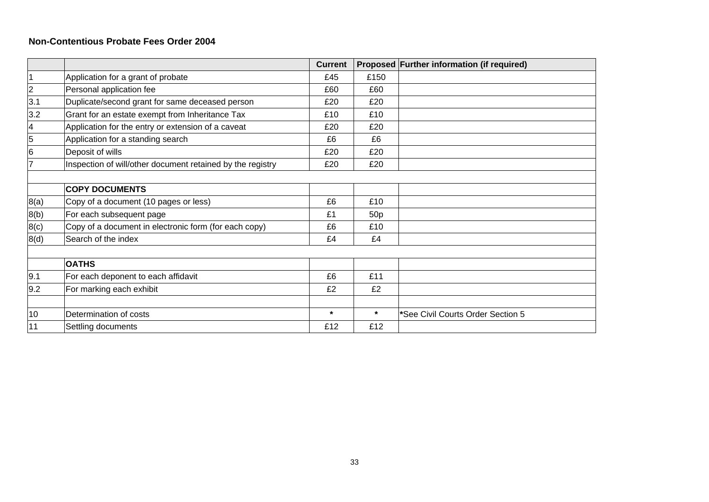#### **Non-Contentious Probate Fees Order 2004**

|                          |                                                            | <b>Current</b> |         | Proposed Further information (if required) |
|--------------------------|------------------------------------------------------------|----------------|---------|--------------------------------------------|
| 1                        | Application for a grant of probate                         | £45            | £150    |                                            |
| $\overline{2}$           | Personal application fee                                   | £60            | £60     |                                            |
| 3.1                      | Duplicate/second grant for same deceased person            | £20            | £20     |                                            |
| 3.2                      | Grant for an estate exempt from Inheritance Tax            | £10            | £10     |                                            |
| $\overline{\mathcal{A}}$ | Application for the entry or extension of a caveat         | £20            | £20     |                                            |
| 5                        | Application for a standing search                          | £6             | £6      |                                            |
| $\overline{6}$           | Deposit of wills                                           | £20            | £20     |                                            |
| $\overline{7}$           | Inspection of will/other document retained by the registry | £20            | £20     |                                            |
|                          |                                                            |                |         |                                            |
|                          | <b>COPY DOCUMENTS</b>                                      |                |         |                                            |
| 8(a)                     | Copy of a document (10 pages or less)                      | £6             | £10     |                                            |
| 8(b)                     | For each subsequent page                                   | £1             | 50p     |                                            |
| 8(c)                     | Copy of a document in electronic form (for each copy)      | £6             | £10     |                                            |
| 8(d)                     | Search of the index                                        | £4             | £4      |                                            |
|                          |                                                            |                |         |                                            |
|                          | <b>OATHS</b>                                               |                |         |                                            |
| 9.1                      | For each deponent to each affidavit                        | £6             | £11     |                                            |
| 9.2                      | For marking each exhibit                                   | £2             | £2      |                                            |
|                          |                                                            |                |         |                                            |
| 10                       | Determination of costs                                     | $\star$        | $\star$ | *See Civil Courts Order Section 5          |
| 11                       | Settling documents                                         | £12            | £12     |                                            |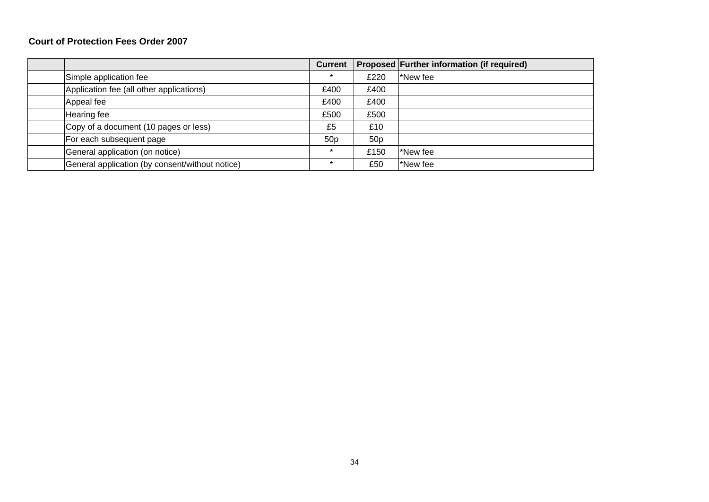#### **Court of Protection Fees Order 2007**

|                                                 | <b>Current</b>  |                 | <b>Proposed Further information (if required)</b> |
|-------------------------------------------------|-----------------|-----------------|---------------------------------------------------|
| Simple application fee                          | ÷               | £220            | New fee                                           |
| Application fee (all other applications)        | £400            | £400            |                                                   |
| Appeal fee                                      | £400            | £400            |                                                   |
| Hearing fee                                     | £500            | £500            |                                                   |
| Copy of a document (10 pages or less)           | £5              | £10             |                                                   |
| For each subsequent page                        | 50 <sub>p</sub> | 50 <sub>p</sub> |                                                   |
| General application (on notice)                 |                 | £150            | New fee                                           |
| General application (by consent/without notice) | $\star$         | £50             | New fee                                           |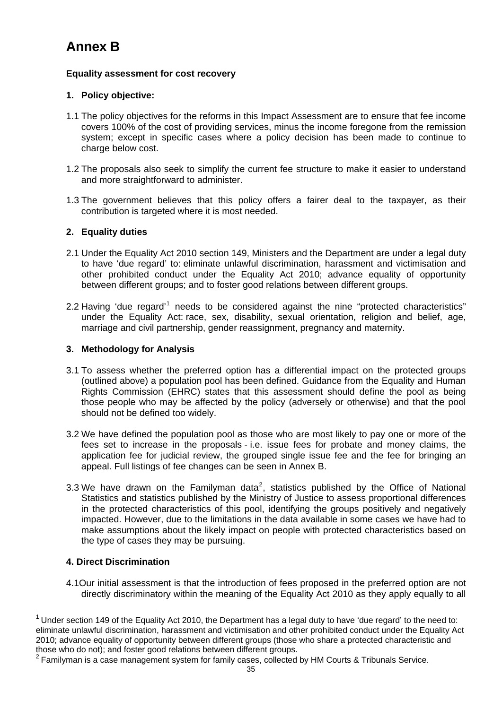# **Annex B**

# **Equality assessment for cost recovery**

# **1. Policy objective:**

- 1.1 The policy objectives for the reforms in this Impact Assessment are to ensure that fee income covers 100% of the cost of providing services, minus the income foregone from the remission system; except in specific cases where a policy decision has been made to continue to charge below cost.
- 1.2 The proposals also seek to simplify the current fee structure to make it easier to understand and more straightforward to administer.
- 1.3 The government believes that this policy offers a fairer deal to the taxpayer, as their contribution is targeted where it is most needed.

# **2. Equality duties**

- 2.1 Under the Equality Act 2010 section 149, Ministers and the Department are under a legal duty to have 'due regard' to: eliminate unlawful discrimination, harassment and victimisation and other prohibited conduct under the Equality Act 2010; advance equality of opportunity between different groups; and to foster good relations between different groups.
- 2.2 Having 'due regard'<sup>[1](#page-34-0)</sup> needs to be considered against the nine "protected characteristics" under the Equality Act: race, sex, disability, sexual orientation, religion and belief, age, marriage and civil partnership, gender reassignment, pregnancy and maternity.

# **3. Methodology for Analysis**

- 3.1 To assess whether the preferred option has a differential impact on the protected groups (outlined above) a population pool has been defined. Guidance from the Equality and Human Rights Commission (EHRC) states that this assessment should define the pool as being those people who may be affected by the policy (adversely or otherwise) and that the pool should not be defined too widely.
- 3.2 We have defined the population pool as those who are most likely to pay one or more of the fees set to increase in the proposals - i.e. issue fees for probate and money claims, the application fee for judicial review, the grouped single issue fee and the fee for bringing an appeal. Full listings of fee changes can be seen in Annex B.
- 3.3 We have drawn on the Familyman data<sup>[2](#page-34-1)</sup>, statistics published by the Office of National Statistics and statistics published by the Ministry of Justice to assess proportional differences in the protected characteristics of this pool, identifying the groups positively and negatively impacted. However, due to the limitations in the data available in some cases we have had to make assumptions about the likely impact on people with protected characteristics based on the type of cases they may be pursuing.

# **4. Direct Discrimination**

l

4.1Our initial assessment is that the introduction of fees proposed in the preferred option are not directly discriminatory within the meaning of the Equality Act 2010 as they apply equally to all

<span id="page-34-0"></span> $1$  Under section 149 of the Equality Act 2010, the Department has a legal duty to have 'due regard' to the need to: eliminate unlawful discrimination, harassment and victimisation and other prohibited conduct under the Equality Act 2010; advance equality of opportunity between different groups (those who share a protected characteristic and those who do not); and foster good relations between different groups.

<span id="page-34-1"></span> $2$  Familyman is a case management system for family cases, collected by HM Courts & Tribunals Service.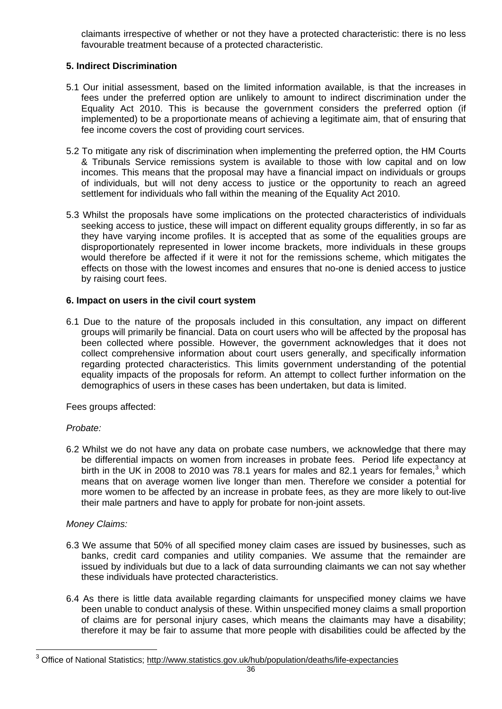claimants irrespective of whether or not they have a protected characteristic: there is no less favourable treatment because of a protected characteristic.

# **5. Indirect Discrimination**

- 5.1 Our initial assessment, based on the limited information available, is that the increases in fees under the preferred option are unlikely to amount to indirect discrimination under the Equality Act 2010. This is because the government considers the preferred option (if implemented) to be a proportionate means of achieving a legitimate aim, that of ensuring that fee income covers the cost of providing court services.
- 5.2 To mitigate any risk of discrimination when implementing the preferred option, the HM Courts & Tribunals Service remissions system is available to those with low capital and on low incomes. This means that the proposal may have a financial impact on individuals or groups of individuals, but will not deny access to justice or the opportunity to reach an agreed settlement for individuals who fall within the meaning of the Equality Act 2010.
- 5.3 Whilst the proposals have some implications on the protected characteristics of individuals seeking access to justice, these will impact on different equality groups differently, in so far as they have varying income profiles. It is accepted that as some of the equalities groups are disproportionately represented in lower income brackets, more individuals in these groups would therefore be affected if it were it not for the remissions scheme, which mitigates the effects on those with the lowest incomes and ensures that no-one is denied access to justice by raising court fees.

# **6. Impact on users in the civil court system**

6.1 Due to the nature of the proposals included in this consultation, any impact on different groups will primarily be financial. Data on court users who will be affected by the proposal has been collected where possible. However, the government acknowledges that it does not collect comprehensive information about court users generally, and specifically information regarding protected characteristics. This limits government understanding of the potential equality impacts of the proposals for reform. An attempt to collect further information on the demographics of users in these cases has been undertaken, but data is limited.

Fees groups affected:

# *Probate:*

6.2 Whilst we do not have any data on probate case numbers, we acknowledge that there may be differential impacts on women from increases in probate fees. Period life expectancy at birth in the UK in 2008 to 2010 was 78.1 years for males and 82.1 years for females,<sup>[3](#page-35-0)</sup> which means that on average women live longer than men. Therefore we consider a potential for more women to be affected by an increase in probate fees, as they are more likely to out-live their male partners and have to apply for probate for non-joint assets.

# *Money Claims:*

- 6.3 We assume that 50% of all specified money claim cases are issued by businesses, such as banks, credit card companies and utility companies. We assume that the remainder are issued by individuals but due to a lack of data surrounding claimants we can not say whether these individuals have protected characteristics.
- 6.4 As there is little data available regarding claimants for unspecified money claims we have been unable to conduct analysis of these. Within unspecified money claims a small proportion of claims are for personal injury cases, which means the claimants may have a disability; therefore it may be fair to assume that more people with disabilities could be affected by the

<span id="page-35-0"></span><sup>&</sup>lt;sup>3</sup> Office of National Statistics;<http://www.statistics.gov.uk/hub/population/deaths/life-expectancies>